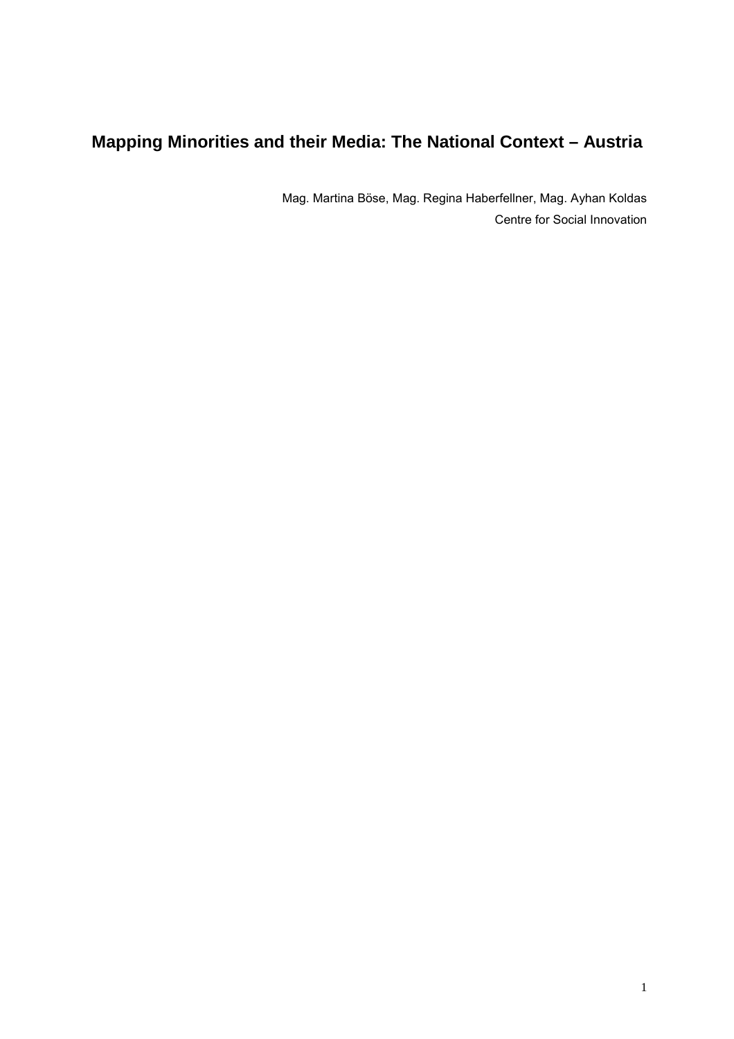# **Mapping Minorities and their Media: The National Context – Austria**

Mag. Martina Böse, Mag. Regina Haberfellner, Mag. Ayhan Koldas Centre for Social Innovation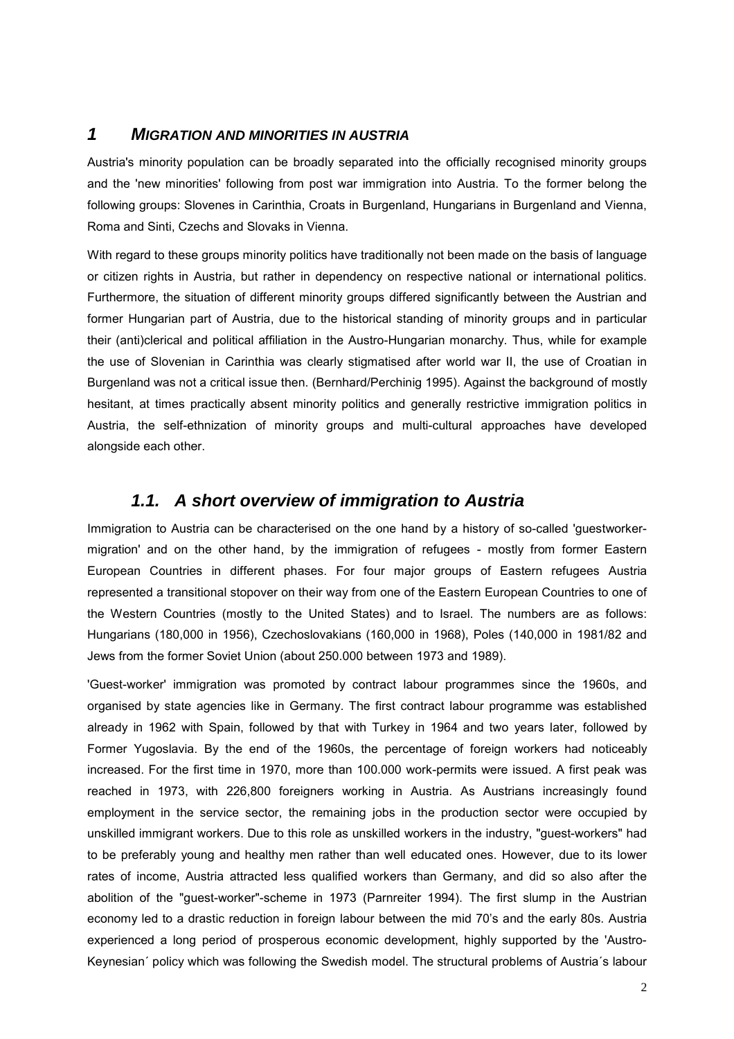# *1 MIGRATION AND MINORITIES IN AUSTRIA*

Austria's minority population can be broadly separated into the officially recognised minority groups and the 'new minorities' following from post war immigration into Austria. To the former belong the following groups: Slovenes in Carinthia, Croats in Burgenland, Hungarians in Burgenland and Vienna, Roma and Sinti, Czechs and Slovaks in Vienna.

With regard to these groups minority politics have traditionally not been made on the basis of language or citizen rights in Austria, but rather in dependency on respective national or international politics. Furthermore, the situation of different minority groups differed significantly between the Austrian and former Hungarian part of Austria, due to the historical standing of minority groups and in particular their (anti)clerical and political affiliation in the Austro-Hungarian monarchy. Thus, while for example the use of Slovenian in Carinthia was clearly stigmatised after world war II, the use of Croatian in Burgenland was not a critical issue then. (Bernhard/Perchinig 1995). Against the background of mostly hesitant, at times practically absent minority politics and generally restrictive immigration politics in Austria, the self-ethnization of minority groups and multi-cultural approaches have developed alongside each other.

# *1.1. A short overview of immigration to Austria*

Immigration to Austria can be characterised on the one hand by a history of so-called 'guestworkermigration' and on the other hand, by the immigration of refugees - mostly from former Eastern European Countries in different phases. For four major groups of Eastern refugees Austria represented a transitional stopover on their way from one of the Eastern European Countries to one of the Western Countries (mostly to the United States) and to Israel. The numbers are as follows: Hungarians (180,000 in 1956), Czechoslovakians (160,000 in 1968), Poles (140,000 in 1981/82 and Jews from the former Soviet Union (about 250.000 between 1973 and 1989).

'Guest-worker' immigration was promoted by contract labour programmes since the 1960s, and organised by state agencies like in Germany. The first contract labour programme was established already in 1962 with Spain, followed by that with Turkey in 1964 and two years later, followed by Former Yugoslavia. By the end of the 1960s, the percentage of foreign workers had noticeably increased. For the first time in 1970, more than 100.000 work-permits were issued. A first peak was reached in 1973, with 226,800 foreigners working in Austria. As Austrians increasingly found employment in the service sector, the remaining jobs in the production sector were occupied by unskilled immigrant workers. Due to this role as unskilled workers in the industry, "guest-workers" had to be preferably young and healthy men rather than well educated ones. However, due to its lower rates of income, Austria attracted less qualified workers than Germany, and did so also after the abolition of the "guest-worker"-scheme in 1973 (Parnreiter 1994). The first slump in the Austrian economy led to a drastic reduction in foreign labour between the mid 70's and the early 80s. Austria experienced a long period of prosperous economic development, highly supported by the 'Austro-Keynesian' policy which was following the Swedish model. The structural problems of Austria's labour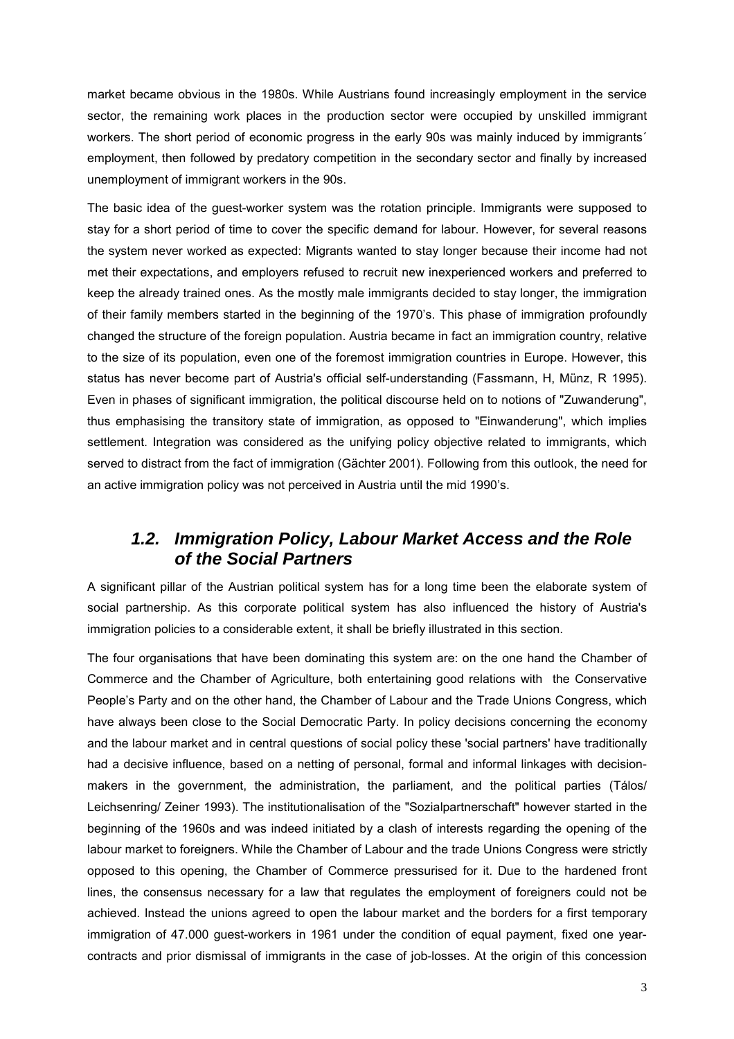market became obvious in the 1980s. While Austrians found increasingly employment in the service sector, the remaining work places in the production sector were occupied by unskilled immigrant workers. The short period of economic progress in the early 90s was mainly induced by immigrants' employment, then followed by predatory competition in the secondary sector and finally by increased unemployment of immigrant workers in the 90s.

The basic idea of the guest-worker system was the rotation principle. Immigrants were supposed to stay for a short period of time to cover the specific demand for labour. However, for several reasons the system never worked as expected: Migrants wanted to stay longer because their income had not met their expectations, and employers refused to recruit new inexperienced workers and preferred to keep the already trained ones. As the mostly male immigrants decided to stay longer, the immigration of their family members started in the beginning of the 1970ís. This phase of immigration profoundly changed the structure of the foreign population. Austria became in fact an immigration country, relative to the size of its population, even one of the foremost immigration countries in Europe. However, this status has never become part of Austria's official self-understanding (Fassmann, H, Münz, R 1995). Even in phases of significant immigration, the political discourse held on to notions of "Zuwanderung", thus emphasising the transitory state of immigration, as opposed to "Einwanderung", which implies settlement. Integration was considered as the unifying policy objective related to immigrants, which served to distract from the fact of immigration (Gächter 2001). Following from this outlook, the need for an active immigration policy was not perceived in Austria until the mid 1990's.

# *1.2. Immigration Policy, Labour Market Access and the Role of the Social Partners*

A significant pillar of the Austrian political system has for a long time been the elaborate system of social partnership. As this corporate political system has also influenced the history of Austria's immigration policies to a considerable extent, it shall be briefly illustrated in this section.

The four organisations that have been dominating this system are: on the one hand the Chamber of Commerce and the Chamber of Agriculture, both entertaining good relations with the Conservative People's Party and on the other hand, the Chamber of Labour and the Trade Unions Congress, which have always been close to the Social Democratic Party. In policy decisions concerning the economy and the labour market and in central questions of social policy these 'social partners' have traditionally had a decisive influence, based on a netting of personal, formal and informal linkages with decisionmakers in the government, the administration, the parliament, and the political parties (Tálos/ Leichsenring/ Zeiner 1993). The institutionalisation of the "Sozialpartnerschaft" however started in the beginning of the 1960s and was indeed initiated by a clash of interests regarding the opening of the labour market to foreigners. While the Chamber of Labour and the trade Unions Congress were strictly opposed to this opening, the Chamber of Commerce pressurised for it. Due to the hardened front lines, the consensus necessary for a law that regulates the employment of foreigners could not be achieved. Instead the unions agreed to open the labour market and the borders for a first temporary immigration of 47.000 guest-workers in 1961 under the condition of equal payment, fixed one yearcontracts and prior dismissal of immigrants in the case of job-losses. At the origin of this concession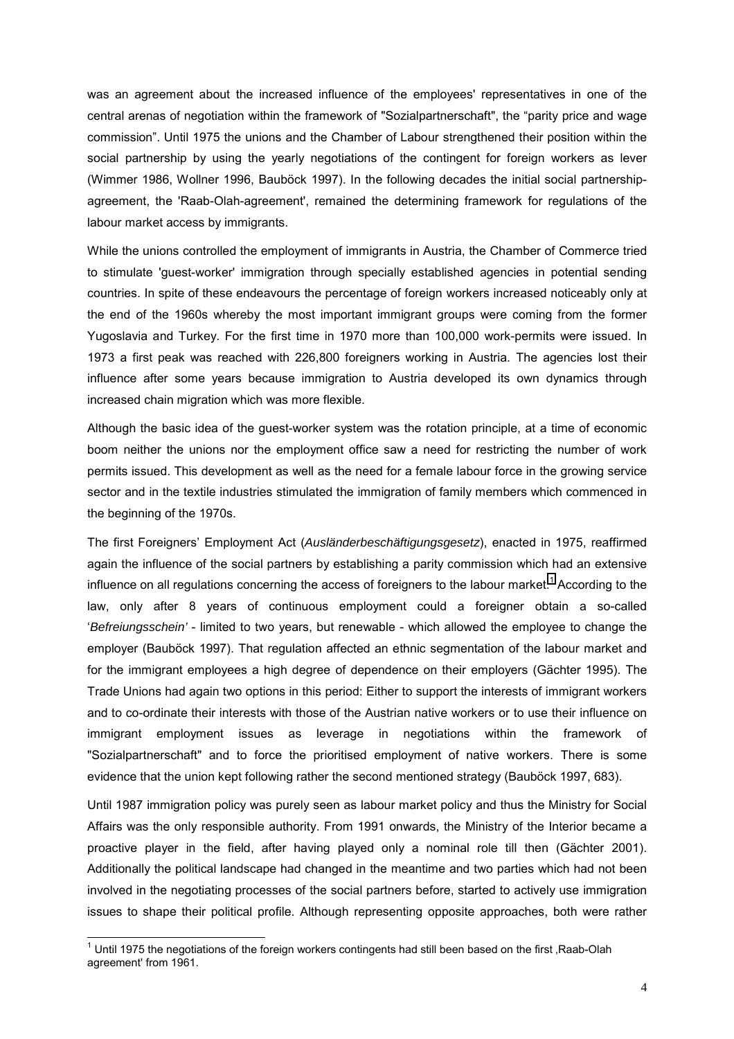was an agreement about the increased influence of the employees' representatives in one of the central arenas of negotiation within the framework of "Sozialpartnerschaft", the "parity price and wage commissionî. Until 1975 the unions and the Chamber of Labour strengthened their position within the social partnership by using the yearly negotiations of the contingent for foreign workers as lever (Wimmer 1986, Wollner 1996, Bauböck 1997). In the following decades the initial social partnershipagreement, the 'Raab-Olah-agreement', remained the determining framework for regulations of the labour market access by immigrants.

While the unions controlled the employment of immigrants in Austria, the Chamber of Commerce tried to stimulate 'guest-worker' immigration through specially established agencies in potential sending countries. In spite of these endeavours the percentage of foreign workers increased noticeably only at the end of the 1960s whereby the most important immigrant groups were coming from the former Yugoslavia and Turkey. For the first time in 1970 more than 100,000 work-permits were issued. In 1973 a first peak was reached with 226,800 foreigners working in Austria. The agencies lost their influence after some years because immigration to Austria developed its own dynamics through increased chain migration which was more flexible.

Although the basic idea of the guest-worker system was the rotation principle, at a time of economic boom neither the unions nor the employment office saw a need for restricting the number of work permits issued. This development as well as the need for a female labour force in the growing service sector and in the textile industries stimulated the immigration of family members which commenced in the beginning of the 1970s.

The first Foreignersí Employment Act (*Ausländerbeschäftigungsgesetz*), enacted in 1975, reaffirmed again the influence of the social partners by establishing a parity commission which had an extensive influence on all regulations concerning the access of foreigners to the labour market.<sup>1</sup> According to the law, only after 8 years of continuous employment could a foreigner obtain a so-called ë*Befreiungsschein'* - limited to two years, but renewable - which allowed the employee to change the employer (Bauböck 1997). That regulation affected an ethnic segmentation of the labour market and for the immigrant employees a high degree of dependence on their employers (Gächter 1995). The Trade Unions had again two options in this period: Either to support the interests of immigrant workers and to co-ordinate their interests with those of the Austrian native workers or to use their influence on immigrant employment issues as leverage in negotiations within the framework of "Sozialpartnerschaft" and to force the prioritised employment of native workers. There is some evidence that the union kept following rather the second mentioned strategy (Bauböck 1997, 683).

Until 1987 immigration policy was purely seen as labour market policy and thus the Ministry for Social Affairs was the only responsible authority. From 1991 onwards, the Ministry of the Interior became a proactive player in the field, after having played only a nominal role till then (Gächter 2001). Additionally the political landscape had changed in the meantime and two parties which had not been involved in the negotiating processes of the social partners before, started to actively use immigration issues to shape their political profile. Although representing opposite approaches, both were rather

l

 $1$  Until 1975 the negotiations of the foreign workers contingents had still been based on the first , Raab-Olah agreement' from 1961.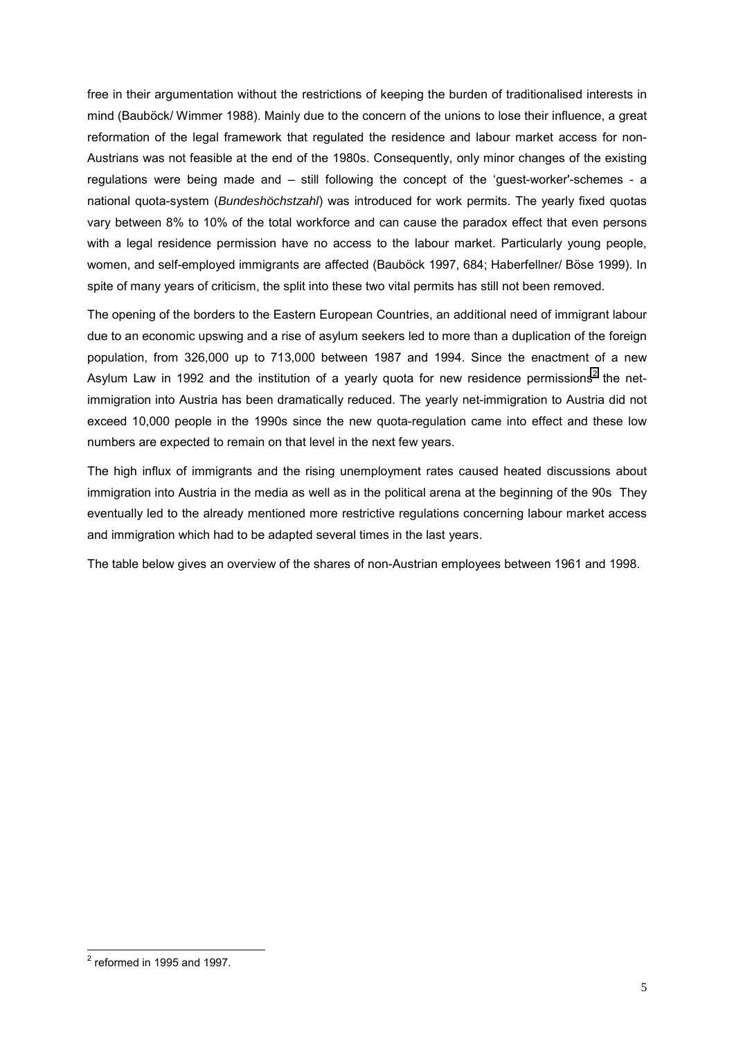free in their argumentation without the restrictions of keeping the burden of traditionalised interests in mind (Bauböck/ Wimmer 1988). Mainly due to the concern of the unions to lose their influence, a great reformation of the legal framework that regulated the residence and labour market access for non-Austrians was not feasible at the end of the 1980s. Consequently, only minor changes of the existing regulations were being made and  $-$  still following the concept of the 'guest-worker'-schemes - a national quota-system (*Bundeshöchstzahl*) was introduced for work permits. The yearly fixed quotas vary between 8% to 10% of the total workforce and can cause the paradox effect that even persons with a legal residence permission have no access to the labour market. Particularly young people, women, and self-employed immigrants are affected (Bauböck 1997, 684; Haberfellner/ Böse 1999). In spite of many years of criticism, the split into these two vital permits has still not been removed.

The opening of the borders to the Eastern European Countries, an additional need of immigrant labour due to an economic upswing and a rise of asylum seekers led to more than a duplication of the foreign population, from 326,000 up to 713,000 between 1987 and 1994. Since the enactment of a new Asylum Law in 1992 and the institution of a yearly quota for new residence permissions<sup>2</sup> the netimmigration into Austria has been dramatically reduced. The yearly net-immigration to Austria did not exceed 10,000 people in the 1990s since the new quota-regulation came into effect and these low numbers are expected to remain on that level in the next few years.

The high influx of immigrants and the rising unemployment rates caused heated discussions about immigration into Austria in the media as well as in the political arena at the beginning of the 90s They eventually led to the already mentioned more restrictive regulations concerning labour market access and immigration which had to be adapted several times in the last years.

The table below gives an overview of the shares of non-Austrian employees between 1961 and 1998.

<sup>&</sup>lt;u>2</u><br><sup>2</sup> reformed in 1995 and 1997.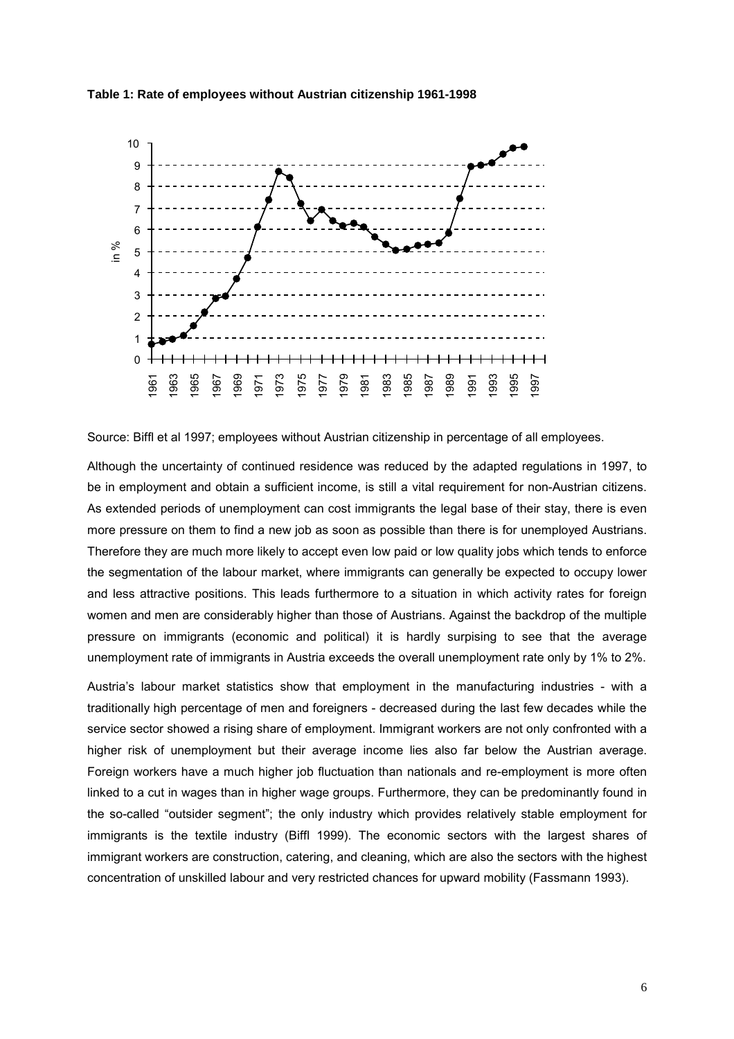

#### **Table 1: Rate of employees without Austrian citizenship 1961-1998**

Source: Biffl et al 1997; employees without Austrian citizenship in percentage of all employees.

Although the uncertainty of continued residence was reduced by the adapted regulations in 1997, to be in employment and obtain a sufficient income, is still a vital requirement for non-Austrian citizens. As extended periods of unemployment can cost immigrants the legal base of their stay, there is even more pressure on them to find a new job as soon as possible than there is for unemployed Austrians. Therefore they are much more likely to accept even low paid or low quality jobs which tends to enforce the segmentation of the labour market, where immigrants can generally be expected to occupy lower and less attractive positions. This leads furthermore to a situation in which activity rates for foreign women and men are considerably higher than those of Austrians. Against the backdrop of the multiple pressure on immigrants (economic and political) it is hardly surpising to see that the average unemployment rate of immigrants in Austria exceeds the overall unemployment rate only by 1% to 2%.

Austriaís labour market statistics show that employment in the manufacturing industries - with a traditionally high percentage of men and foreigners - decreased during the last few decades while the service sector showed a rising share of employment. Immigrant workers are not only confronted with a higher risk of unemployment but their average income lies also far below the Austrian average. Foreign workers have a much higher job fluctuation than nationals and re-employment is more often linked to a cut in wages than in higher wage groups. Furthermore, they can be predominantly found in the so-called "outsider segment"; the only industry which provides relatively stable employment for immigrants is the textile industry (Biffl 1999). The economic sectors with the largest shares of immigrant workers are construction, catering, and cleaning, which are also the sectors with the highest concentration of unskilled labour and very restricted chances for upward mobility (Fassmann 1993).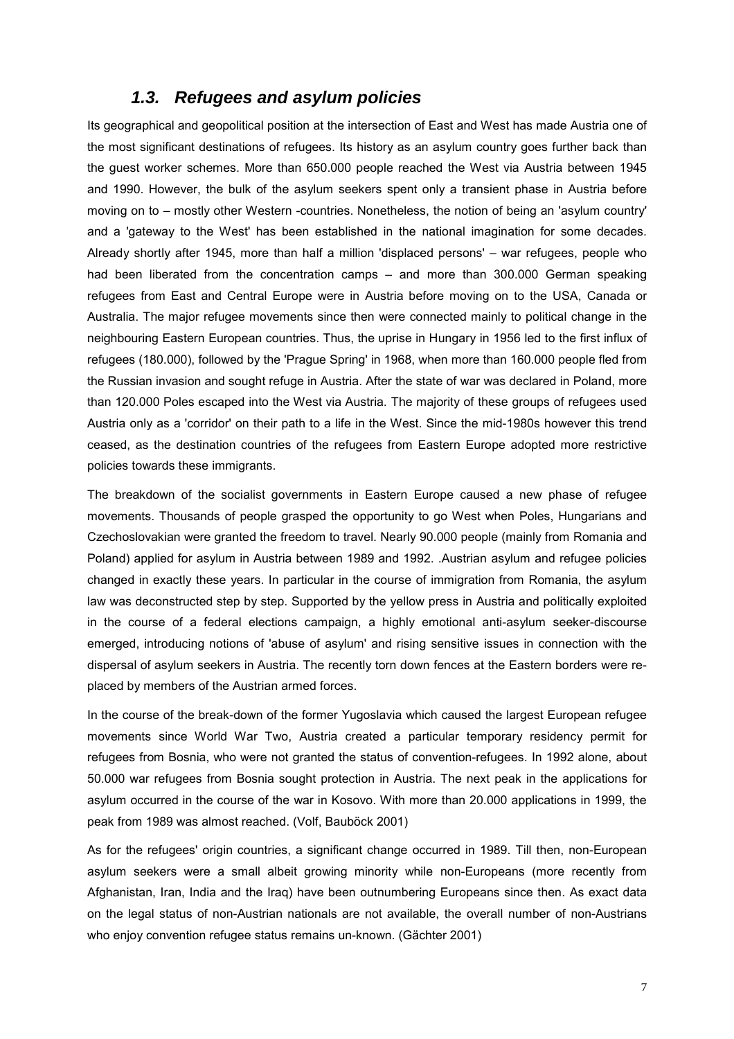# *1.3. Refugees and asylum policies*

Its geographical and geopolitical position at the intersection of East and West has made Austria one of the most significant destinations of refugees. Its history as an asylum country goes further back than the guest worker schemes. More than 650.000 people reached the West via Austria between 1945 and 1990. However, the bulk of the asylum seekers spent only a transient phase in Austria before moving on to – mostly other Western -countries. Nonetheless, the notion of being an 'asylum country' and a 'gateway to the West' has been established in the national imagination for some decades. Already shortly after 1945, more than half a million 'displaced persons' – war refugees, people who had been liberated from the concentration camps  $-$  and more than 300.000 German speaking refugees from East and Central Europe were in Austria before moving on to the USA, Canada or Australia. The major refugee movements since then were connected mainly to political change in the neighbouring Eastern European countries. Thus, the uprise in Hungary in 1956 led to the first influx of refugees (180.000), followed by the 'Prague Spring' in 1968, when more than 160.000 people fled from the Russian invasion and sought refuge in Austria. After the state of war was declared in Poland, more than 120.000 Poles escaped into the West via Austria. The majority of these groups of refugees used Austria only as a 'corridor' on their path to a life in the West. Since the mid-1980s however this trend ceased, as the destination countries of the refugees from Eastern Europe adopted more restrictive policies towards these immigrants.

The breakdown of the socialist governments in Eastern Europe caused a new phase of refugee movements. Thousands of people grasped the opportunity to go West when Poles, Hungarians and Czechoslovakian were granted the freedom to travel. Nearly 90.000 people (mainly from Romania and Poland) applied for asylum in Austria between 1989 and 1992. .Austrian asylum and refugee policies changed in exactly these years. In particular in the course of immigration from Romania, the asylum law was deconstructed step by step. Supported by the yellow press in Austria and politically exploited in the course of a federal elections campaign, a highly emotional anti-asylum seeker-discourse emerged, introducing notions of 'abuse of asylum' and rising sensitive issues in connection with the dispersal of asylum seekers in Austria. The recently torn down fences at the Eastern borders were replaced by members of the Austrian armed forces.

In the course of the break-down of the former Yugoslavia which caused the largest European refugee movements since World War Two, Austria created a particular temporary residency permit for refugees from Bosnia, who were not granted the status of convention-refugees. In 1992 alone, about 50.000 war refugees from Bosnia sought protection in Austria. The next peak in the applications for asylum occurred in the course of the war in Kosovo. With more than 20.000 applications in 1999, the peak from 1989 was almost reached. (Volf. Bauböck 2001)

As for the refugees' origin countries, a significant change occurred in 1989. Till then, non-European asylum seekers were a small albeit growing minority while non-Europeans (more recently from Afghanistan, Iran, India and the Iraq) have been outnumbering Europeans since then. As exact data on the legal status of non-Austrian nationals are not available, the overall number of non-Austrians who enjoy convention refugee status remains un-known. (Gächter 2001)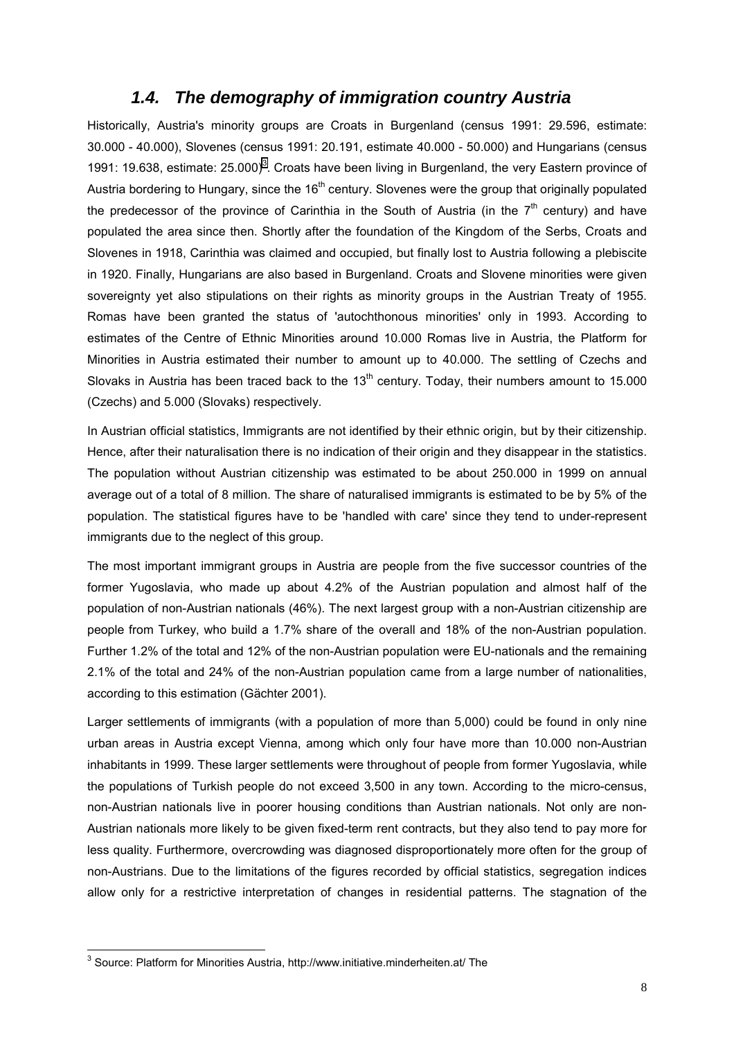# *1.4. The demography of immigration country Austria*

Historically, Austria's minority groups are Croats in Burgenland (census 1991: 29.596, estimate: 30.000 - 40.000), Slovenes (census 1991: 20.191, estimate 40.000 - 50.000) and Hungarians (census 1991: 19.638, estimate:  $25.000$ <sup>3</sup>. Croats have been living in Burgenland, the very Eastern province of Austria bordering to Hungary, since the 16<sup>th</sup> century. Slovenes were the group that originally populated the predecessor of the province of Carinthia in the South of Austria (in the  $7<sup>th</sup>$  century) and have populated the area since then. Shortly after the foundation of the Kingdom of the Serbs, Croats and Slovenes in 1918, Carinthia was claimed and occupied, but finally lost to Austria following a plebiscite in 1920. Finally, Hungarians are also based in Burgenland. Croats and Slovene minorities were given sovereignty yet also stipulations on their rights as minority groups in the Austrian Treaty of 1955. Romas have been granted the status of 'autochthonous minorities' only in 1993. According to estimates of the Centre of Ethnic Minorities around 10.000 Romas live in Austria, the Platform for Minorities in Austria estimated their number to amount up to 40.000. The settling of Czechs and Slovaks in Austria has been traced back to the  $13<sup>th</sup>$  century. Today, their numbers amount to 15.000 (Czechs) and 5.000 (Slovaks) respectively.

In Austrian official statistics, Immigrants are not identified by their ethnic origin, but by their citizenship. Hence, after their naturalisation there is no indication of their origin and they disappear in the statistics. The population without Austrian citizenship was estimated to be about 250.000 in 1999 on annual average out of a total of 8 million. The share of naturalised immigrants is estimated to be by 5% of the population. The statistical figures have to be 'handled with care' since they tend to under-represent immigrants due to the neglect of this group.

The most important immigrant groups in Austria are people from the five successor countries of the former Yugoslavia, who made up about 4.2% of the Austrian population and almost half of the population of non-Austrian nationals (46%). The next largest group with a non-Austrian citizenship are people from Turkey, who build a 1.7% share of the overall and 18% of the non-Austrian population. Further 1.2% of the total and 12% of the non-Austrian population were EU-nationals and the remaining 2.1% of the total and 24% of the non-Austrian population came from a large number of nationalities, according to this estimation (Gächter 2001).

Larger settlements of immigrants (with a population of more than 5,000) could be found in only nine urban areas in Austria except Vienna, among which only four have more than 10.000 non-Austrian inhabitants in 1999. These larger settlements were throughout of people from former Yugoslavia, while the populations of Turkish people do not exceed 3,500 in any town. According to the micro-census, non-Austrian nationals live in poorer housing conditions than Austrian nationals. Not only are non-Austrian nationals more likely to be given fixed-term rent contracts, but they also tend to pay more for less quality. Furthermore, overcrowding was diagnosed disproportionately more often for the group of non-Austrians. Due to the limitations of the figures recorded by official statistics, segregation indices allow only for a restrictive interpretation of changes in residential patterns. The stagnation of the

l

 $3$  Source: Platform for Minorities Austria, http://www.initiative.minderheiten.at/ The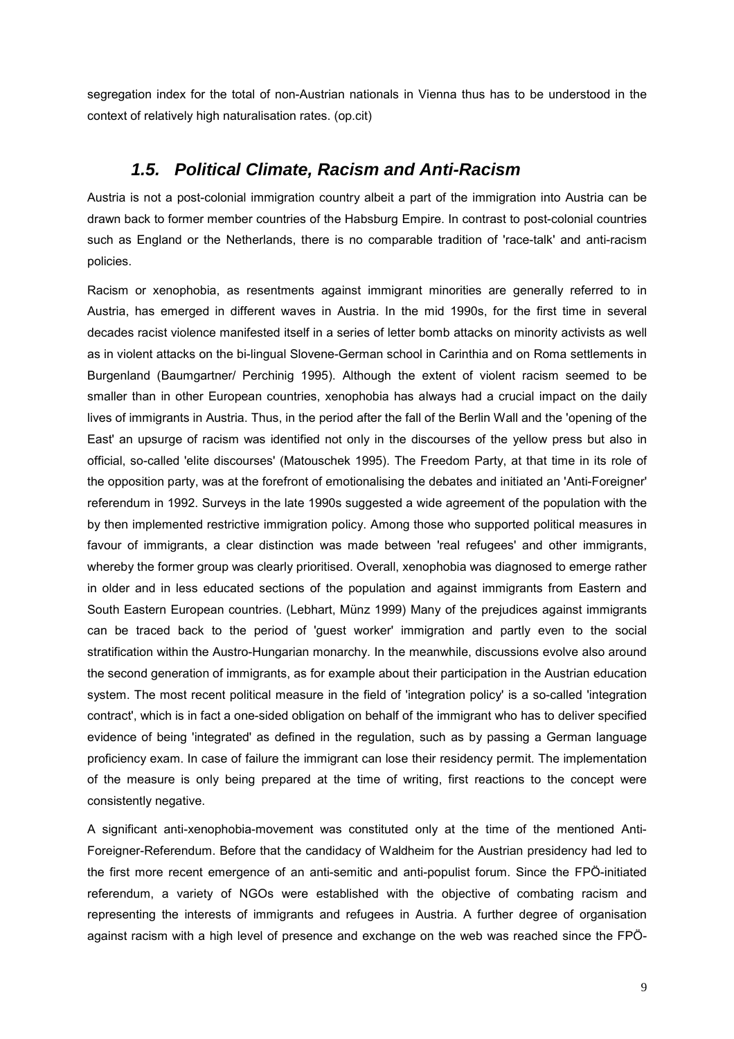segregation index for the total of non-Austrian nationals in Vienna thus has to be understood in the context of relatively high naturalisation rates. (op.cit)

# *1.5. Political Climate, Racism and Anti-Racism*

Austria is not a post-colonial immigration country albeit a part of the immigration into Austria can be drawn back to former member countries of the Habsburg Empire. In contrast to post-colonial countries such as England or the Netherlands, there is no comparable tradition of 'race-talk' and anti-racism policies.

Racism or xenophobia, as resentments against immigrant minorities are generally referred to in Austria, has emerged in different waves in Austria. In the mid 1990s, for the first time in several decades racist violence manifested itself in a series of letter bomb attacks on minority activists as well as in violent attacks on the bi-lingual Slovene-German school in Carinthia and on Roma settlements in Burgenland (Baumgartner/ Perchinig 1995). Although the extent of violent racism seemed to be smaller than in other European countries, xenophobia has always had a crucial impact on the daily lives of immigrants in Austria. Thus, in the period after the fall of the Berlin Wall and the 'opening of the East' an upsurge of racism was identified not only in the discourses of the yellow press but also in official, so-called 'elite discourses' (Matouschek 1995). The Freedom Party, at that time in its role of the opposition party, was at the forefront of emotionalising the debates and initiated an 'Anti-Foreigner' referendum in 1992. Surveys in the late 1990s suggested a wide agreement of the population with the by then implemented restrictive immigration policy. Among those who supported political measures in favour of immigrants, a clear distinction was made between 'real refugees' and other immigrants, whereby the former group was clearly prioritised. Overall, xenophobia was diagnosed to emerge rather in older and in less educated sections of the population and against immigrants from Eastern and South Eastern European countries. (Lebhart, Münz 1999) Many of the prejudices against immigrants can be traced back to the period of 'guest worker' immigration and partly even to the social stratification within the Austro-Hungarian monarchy. In the meanwhile, discussions evolve also around the second generation of immigrants, as for example about their participation in the Austrian education system. The most recent political measure in the field of 'integration policy' is a so-called 'integration contract', which is in fact a one-sided obligation on behalf of the immigrant who has to deliver specified evidence of being 'integrated' as defined in the regulation, such as by passing a German language proficiency exam. In case of failure the immigrant can lose their residency permit. The implementation of the measure is only being prepared at the time of writing, first reactions to the concept were consistently negative.

A significant anti-xenophobia-movement was constituted only at the time of the mentioned Anti-Foreigner-Referendum. Before that the candidacy of Waldheim for the Austrian presidency had led to the first more recent emergence of an anti-semitic and anti-populist forum. Since the FPÖ-initiated referendum, a variety of NGOs were established with the objective of combating racism and representing the interests of immigrants and refugees in Austria. A further degree of organisation against racism with a high level of presence and exchange on the web was reached since the FPÖ-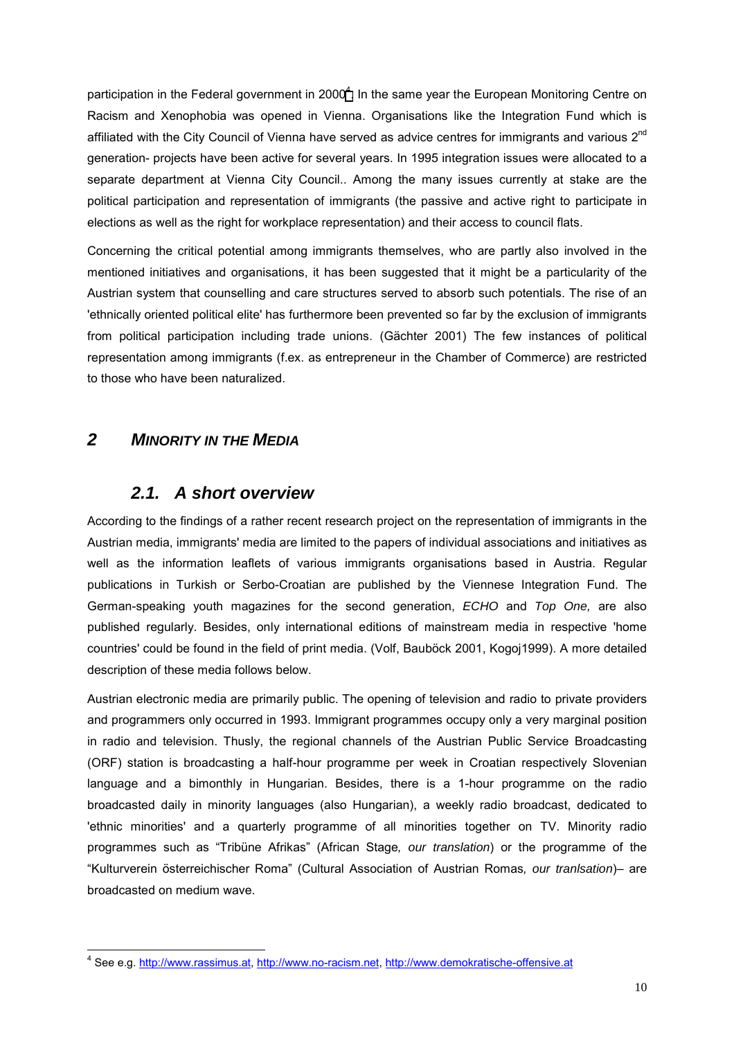participation in the Federal government in 2000<sup>4</sup>. In the same year the European Monitoring Centre on Racism and Xenophobia was opened in Vienna. Organisations like the Integration Fund which is affiliated with the City Council of Vienna have served as advice centres for immigrants and various 2<sup>nd</sup> generation- projects have been active for several years. In 1995 integration issues were allocated to a separate department at Vienna City Council.. Among the many issues currently at stake are the political participation and representation of immigrants (the passive and active right to participate in elections as well as the right for workplace representation) and their access to council flats.

Concerning the critical potential among immigrants themselves, who are partly also involved in the mentioned initiatives and organisations, it has been suggested that it might be a particularity of the Austrian system that counselling and care structures served to absorb such potentials. The rise of an 'ethnically oriented political elite' has furthermore been prevented so far by the exclusion of immigrants from political participation including trade unions. (Gächter 2001) The few instances of political representation among immigrants (f.ex. as entrepreneur in the Chamber of Commerce) are restricted to those who have been naturalized.

# *2 MINORITY IN THE MEDIA*

l

# *2.1. A short overview*

According to the findings of a rather recent research project on the representation of immigrants in the Austrian media, immigrants' media are limited to the papers of individual associations and initiatives as well as the information leaflets of various immigrants organisations based in Austria. Regular publications in Turkish or Serbo-Croatian are published by the Viennese Integration Fund. The German-speaking youth magazines for the second generation, *ECHO* and *Top One,* are also published regularly. Besides, only international editions of mainstream media in respective 'home countries' could be found in the field of print media. (Volf, Bauböck 2001, Kogoj1999). A more detailed description of these media follows below.

Austrian electronic media are primarily public. The opening of television and radio to private providers and programmers only occurred in 1993. Immigrant programmes occupy only a very marginal position in radio and television. Thusly, the regional channels of the Austrian Public Service Broadcasting (ORF) station is broadcasting a half-hour programme per week in Croatian respectively Slovenian language and a bimonthly in Hungarian. Besides, there is a 1-hour programme on the radio broadcasted daily in minority languages (also Hungarian), a weekly radio broadcast, dedicated to 'ethnic minorities' and a quarterly programme of all minorities together on TV. Minority radio programmes such as "Tribüne Afrikas" (African Stage, our translation) or the programme of the "Kulturverein österreichischer Roma" (Cultural Association of Austrian Romas, our tranlsation)- are broadcasted on medium wave.

<sup>&</sup>lt;sup>4</sup> See e.g. http://www.rassimus.at, http://www.no-racism.net, http://www.demokratische-offensive.at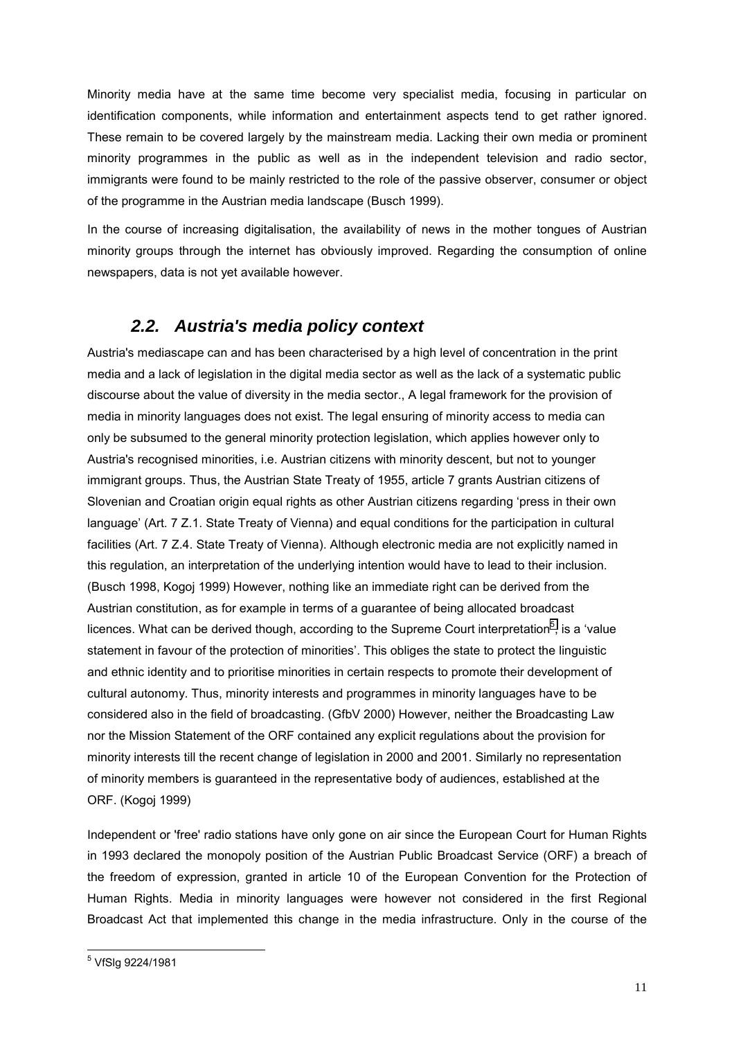Minority media have at the same time become very specialist media, focusing in particular on identification components, while information and entertainment aspects tend to get rather ignored. These remain to be covered largely by the mainstream media. Lacking their own media or prominent minority programmes in the public as well as in the independent television and radio sector, immigrants were found to be mainly restricted to the role of the passive observer, consumer or object of the programme in the Austrian media landscape (Busch 1999).

In the course of increasing digitalisation, the availability of news in the mother tongues of Austrian minority groups through the internet has obviously improved. Regarding the consumption of online newspapers, data is not yet available however.

# *2.2. Austria's media policy context*

Austria's mediascape can and has been characterised by a high level of concentration in the print media and a lack of legislation in the digital media sector as well as the lack of a systematic public discourse about the value of diversity in the media sector., A legal framework for the provision of media in minority languages does not exist. The legal ensuring of minority access to media can only be subsumed to the general minority protection legislation, which applies however only to Austria's recognised minorities, i.e. Austrian citizens with minority descent, but not to younger immigrant groups. Thus, the Austrian State Treaty of 1955, article 7 grants Austrian citizens of Slovenian and Croatian origin equal rights as other Austrian citizens regarding 'press in their own language' (Art. 7 Z.1. State Treaty of Vienna) and equal conditions for the participation in cultural facilities (Art. 7 Z.4. State Treaty of Vienna). Although electronic media are not explicitly named in this regulation, an interpretation of the underlying intention would have to lead to their inclusion. (Busch 1998, Kogoj 1999) However, nothing like an immediate right can be derived from the Austrian constitution, as for example in terms of a guarantee of being allocated broadcast licences. What can be derived though, according to the Supreme Court interpretation<sup>5</sup>, is a 'value statement in favour of the protection of minorities'. This obliges the state to protect the linguistic and ethnic identity and to prioritise minorities in certain respects to promote their development of cultural autonomy. Thus, minority interests and programmes in minority languages have to be considered also in the field of broadcasting. (GfbV 2000) However, neither the Broadcasting Law nor the Mission Statement of the ORF contained any explicit regulations about the provision for minority interests till the recent change of legislation in 2000 and 2001. Similarly no representation of minority members is guaranteed in the representative body of audiences, established at the ORF. (Kogoj 1999)

Independent or 'free' radio stations have only gone on air since the European Court for Human Rights in 1993 declared the monopoly position of the Austrian Public Broadcast Service (ORF) a breach of the freedom of expression, granted in article 10 of the European Convention for the Protection of Human Rights. Media in minority languages were however not considered in the first Regional Broadcast Act that implemented this change in the media infrastructure. Only in the course of the

 5 VfSlg 9224/1981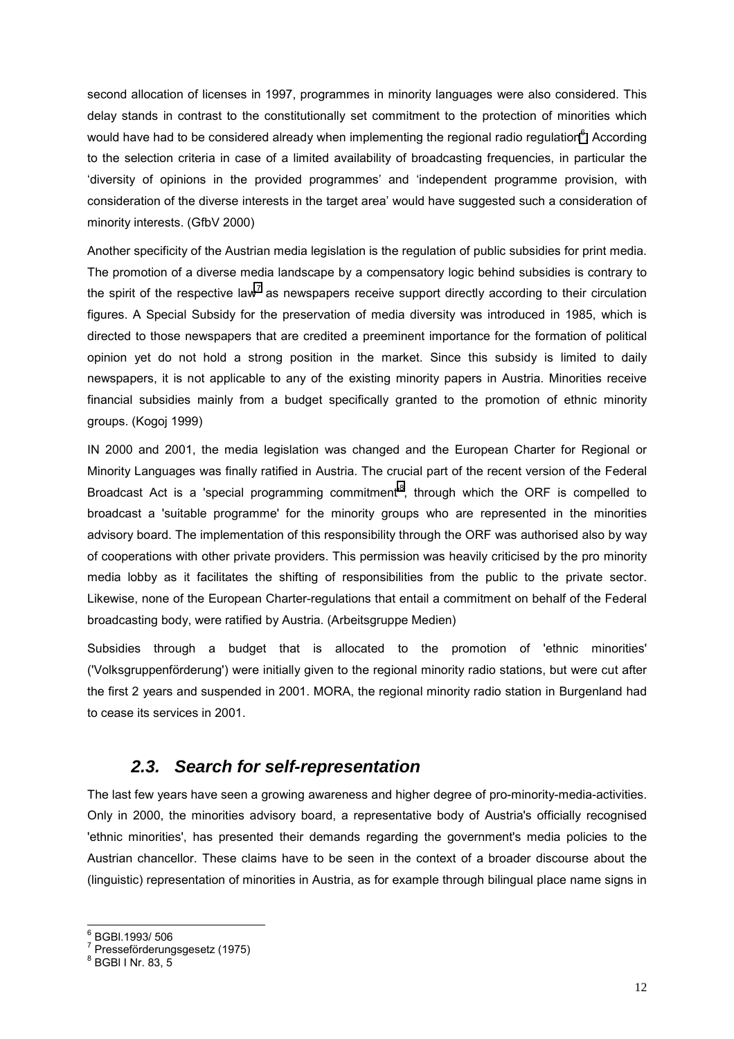second allocation of licenses in 1997, programmes in minority languages were also considered. This delay stands in contrast to the constitutionally set commitment to the protection of minorities which would have had to be considered already when implementing the regional radio regulation $^6$ . According to the selection criteria in case of a limited availability of broadcasting frequencies, in particular the ëdiversity of opinions in the provided programmesí and ëindependent programme provision, with consideration of the diverse interests in the target areaí would have suggested such a consideration of minority interests. (GfbV 2000)

Another specificity of the Austrian media legislation is the regulation of public subsidies for print media. The promotion of a diverse media landscape by a compensatory logic behind subsidies is contrary to the spirit of the respective law<sup>7</sup> as newspapers receive support directly according to their circulation figures. A Special Subsidy for the preservation of media diversity was introduced in 1985, which is directed to those newspapers that are credited a preeminent importance for the formation of political opinion yet do not hold a strong position in the market. Since this subsidy is limited to daily newspapers, it is not applicable to any of the existing minority papers in Austria. Minorities receive financial subsidies mainly from a budget specifically granted to the promotion of ethnic minority groups. (Kogoj 1999)

IN 2000 and 2001, the media legislation was changed and the European Charter for Regional or Minority Languages was finally ratified in Austria. The crucial part of the recent version of the Federal Broadcast Act is a 'special programming commitment<sup>8</sup>, through which the ORF is compelled to broadcast a 'suitable programme' for the minority groups who are represented in the minorities advisory board. The implementation of this responsibility through the ORF was authorised also by way of cooperations with other private providers. This permission was heavily criticised by the pro minority media lobby as it facilitates the shifting of responsibilities from the public to the private sector. Likewise, none of the European Charter-regulations that entail a commitment on behalf of the Federal broadcasting body, were ratified by Austria. (Arbeitsgruppe Medien)

Subsidies through a budget that is allocated to the promotion of 'ethnic minorities' ('Volksgruppenförderung') were initially given to the regional minority radio stations, but were cut after the first 2 years and suspended in 2001. MORA, the regional minority radio station in Burgenland had to cease its services in 2001.

# *2.3. Search for self-representation*

The last few years have seen a growing awareness and higher degree of pro-minority-media-activities. Only in 2000, the minorities advisory board, a representative body of Austria's officially recognised 'ethnic minorities', has presented their demands regarding the government's media policies to the Austrian chancellor. These claims have to be seen in the context of a broader discourse about the (linguistic) representation of minorities in Austria, as for example through bilingual place name signs in

l 6 BGBl.1993/ 506

 $7$  Presseförderungsgesetz (1975)

<sup>8</sup> BGBl I Nr. 83, 5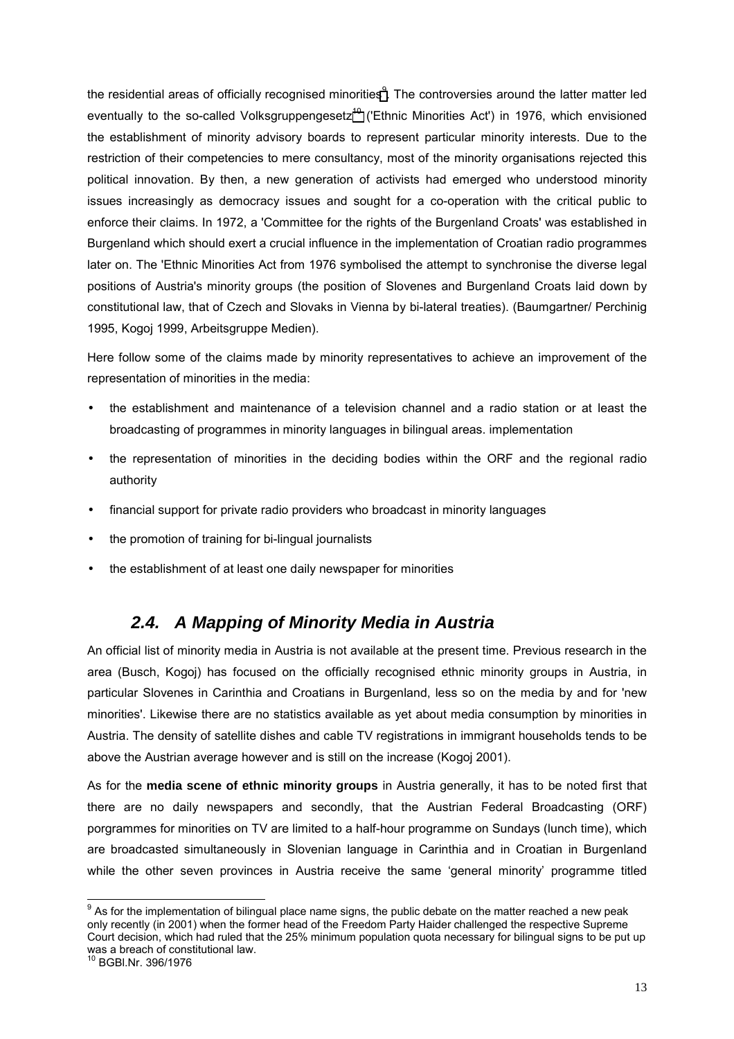the residential areas of officially recognised minorities ${}^{9}$ . The controversies around the latter matter led eventually to the so-called Volksgruppengesetz<sup>10</sup> ('Ethnic Minorities Act') in 1976, which envisioned the establishment of minority advisory boards to represent particular minority interests. Due to the restriction of their competencies to mere consultancy, most of the minority organisations rejected this political innovation. By then, a new generation of activists had emerged who understood minority issues increasingly as democracy issues and sought for a co-operation with the critical public to enforce their claims. In 1972, a 'Committee for the rights of the Burgenland Croats' was established in Burgenland which should exert a crucial influence in the implementation of Croatian radio programmes later on. The 'Ethnic Minorities Act from 1976 symbolised the attempt to synchronise the diverse legal positions of Austria's minority groups (the position of Slovenes and Burgenland Croats laid down by constitutional law, that of Czech and Slovaks in Vienna by bi-lateral treaties). (Baumgartner/ Perchinig 1995, Kogoj 1999, Arbeitsgruppe Medien).

Here follow some of the claims made by minority representatives to achieve an improvement of the representation of minorities in the media:

- the establishment and maintenance of a television channel and a radio station or at least the broadcasting of programmes in minority languages in bilingual areas. implementation
- the representation of minorities in the deciding bodies within the ORF and the regional radio authority
- financial support for private radio providers who broadcast in minority languages
- the promotion of training for bi-lingual journalists
- the establishment of at least one daily newspaper for minorities

# *2.4. A Mapping of Minority Media in Austria*

An official list of minority media in Austria is not available at the present time. Previous research in the area (Busch, Kogoj) has focused on the officially recognised ethnic minority groups in Austria, in particular Slovenes in Carinthia and Croatians in Burgenland, less so on the media by and for 'new minorities'. Likewise there are no statistics available as yet about media consumption by minorities in Austria. The density of satellite dishes and cable TV registrations in immigrant households tends to be above the Austrian average however and is still on the increase (Kogoj 2001).

As for the **media scene of ethnic minority groups** in Austria generally, it has to be noted first that there are no daily newspapers and secondly, that the Austrian Federal Broadcasting (ORF) porgrammes for minorities on TV are limited to a half-hour programme on Sundays (lunch time), which are broadcasted simultaneously in Slovenian language in Carinthia and in Croatian in Burgenland while the other seven provinces in Austria receive the same 'general minority' programme titled

<sup>9&</sup>lt;br>As for the implementation of bilingual place name signs, the public debate on the matter reached a new peak only recently (in 2001) when the former head of the Freedom Party Haider challenged the respective Supreme Court decision, which had ruled that the 25% minimum population quota necessary for bilingual signs to be put up was a breach of constitutional law.

<sup>10</sup> BGBl.Nr. 396/1976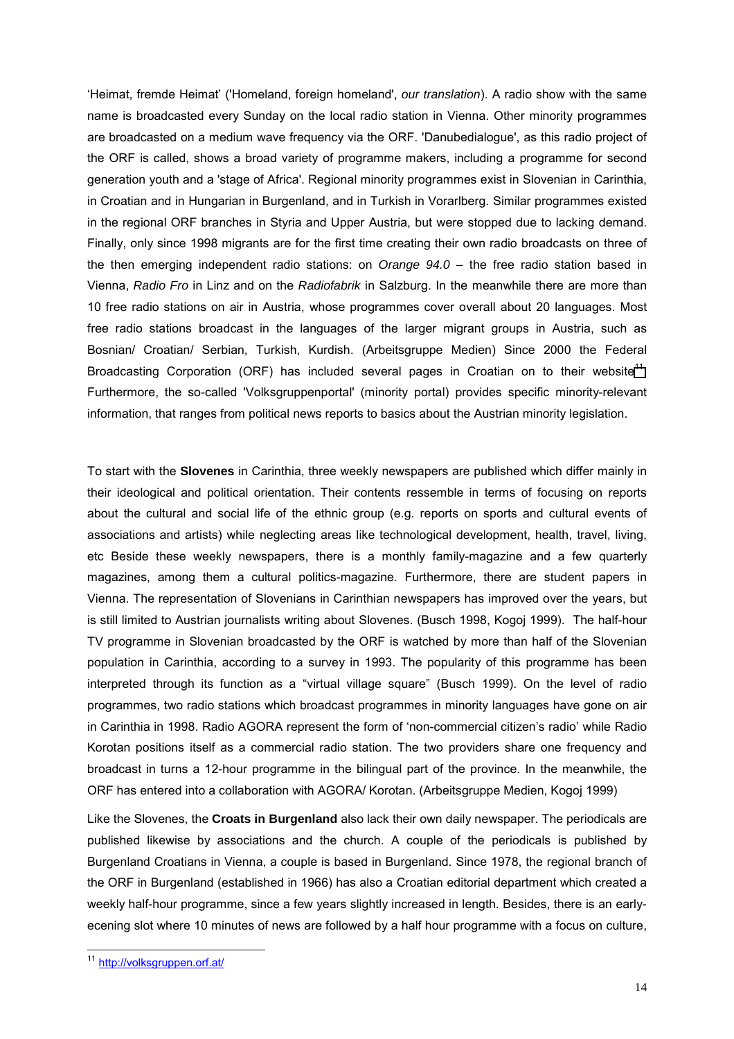ëHeimat, fremde Heimatí ('Homeland, foreign homeland', *our translation*). A radio show with the same name is broadcasted every Sunday on the local radio station in Vienna. Other minority programmes are broadcasted on a medium wave frequency via the ORF. 'Danubedialogue', as this radio project of the ORF is called, shows a broad variety of programme makers, including a programme for second generation youth and a 'stage of Africa'. Regional minority programmes exist in Slovenian in Carinthia, in Croatian and in Hungarian in Burgenland, and in Turkish in Vorarlberg. Similar programmes existed in the regional ORF branches in Styria and Upper Austria, but were stopped due to lacking demand. Finally, only since 1998 migrants are for the first time creating their own radio broadcasts on three of the then emerging independent radio stations: on *Orange 94.0* – the free radio station based in Vienna, *Radio Fro* in Linz and on the *Radiofabrik* in Salzburg. In the meanwhile there are more than 10 free radio stations on air in Austria, whose programmes cover overall about 20 languages. Most free radio stations broadcast in the languages of the larger migrant groups in Austria, such as Bosnian/ Croatian/ Serbian, Turkish, Kurdish. (Arbeitsgruppe Medien) Since 2000 the Federal Broadcasting Corporation (ORF) has included several pages in Croatian on to their website<sup>11</sup>. Furthermore, the so-called 'Volksgruppenportal' (minority portal) provides specific minority-relevant information, that ranges from political news reports to basics about the Austrian minority legislation.

To start with the **Slovenes** in Carinthia, three weekly newspapers are published which differ mainly in their ideological and political orientation. Their contents ressemble in terms of focusing on reports about the cultural and social life of the ethnic group (e.g. reports on sports and cultural events of associations and artists) while neglecting areas like technological development, health, travel, living, etc Beside these weekly newspapers, there is a monthly family-magazine and a few quarterly magazines, among them a cultural politics-magazine. Furthermore, there are student papers in Vienna. The representation of Slovenians in Carinthian newspapers has improved over the years, but is still limited to Austrian journalists writing about Slovenes. (Busch 1998, Kogoj 1999). The half-hour TV programme in Slovenian broadcasted by the ORF is watched by more than half of the Slovenian population in Carinthia, according to a survey in 1993. The popularity of this programme has been interpreted through its function as a "virtual village square" (Busch 1999). On the level of radio programmes, two radio stations which broadcast programmes in minority languages have gone on air in Carinthia in 1998. Radio AGORA represent the form of 'non-commercial citizen's radio' while Radio Korotan positions itself as a commercial radio station. The two providers share one frequency and broadcast in turns a 12-hour programme in the bilingual part of the province. In the meanwhile, the ORF has entered into a collaboration with AGORA/ Korotan. (Arbeitsgruppe Medien, Kogoj 1999)

Like the Slovenes, the **Croats in Burgenland** also lack their own daily newspaper. The periodicals are published likewise by associations and the church. A couple of the periodicals is published by Burgenland Croatians in Vienna, a couple is based in Burgenland. Since 1978, the regional branch of the ORF in Burgenland (established in 1966) has also a Croatian editorial department which created a weekly half-hour programme, since a few years slightly increased in length. Besides, there is an earlyecening slot where 10 minutes of news are followed by a half hour programme with a focus on culture,

l

<sup>&</sup>lt;sup>11</sup> http://volksgruppen.orf.at/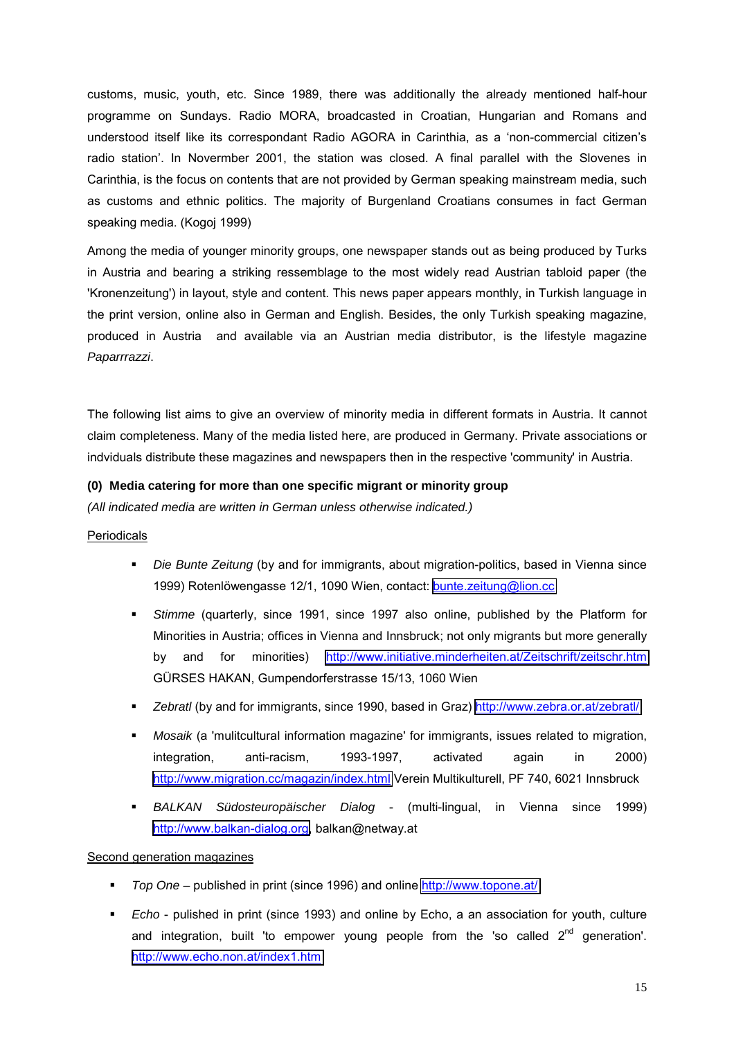customs, music, youth, etc. Since 1989, there was additionally the already mentioned half-hour programme on Sundays. Radio MORA, broadcasted in Croatian, Hungarian and Romans and understood itself like its correspondant Radio AGORA in Carinthia, as a 'non-commercial citizen's radio station'. In Novermber 2001, the station was closed. A final parallel with the Slovenes in Carinthia, is the focus on contents that are not provided by German speaking mainstream media, such as customs and ethnic politics. The majority of Burgenland Croatians consumes in fact German speaking media. (Kogoj 1999)

Among the media of younger minority groups, one newspaper stands out as being produced by Turks in Austria and bearing a striking ressemblage to the most widely read Austrian tabloid paper (the 'Kronenzeitung') in layout, style and content. This news paper appears monthly, in Turkish language in the print version, online also in German and English. Besides, the only Turkish speaking magazine, produced in Austria and available via an Austrian media distributor, is the lifestyle magazine *Paparrrazzi*.

The following list aims to give an overview of minority media in different formats in Austria. It cannot claim completeness. Many of the media listed here, are produced in Germany. Private associations or indviduals distribute these magazines and newspapers then in the respective 'community' in Austria.

### **(0) Media catering for more than one specific migrant or minority group**

*(All indicated media are written in German unless otherwise indicated.)*

### Periodicals

- *Die Bunte Zeitung* (by and for immigrants, about migration-politics, based in Vienna since 1999) Rotenlöwengasse 12/1, 1090 Wien, contact: [bunte.zeitung@lion.cc](mailto:bunte.zeitung@lion.cc)
- *Stimme* (quarterly, since 1991, since 1997 also online, published by the Platform for Minorities in Austria; offices in Vienna and Innsbruck; not only migrants but more generally by and for minorities) <http://www.initiative.minderheiten.at/Zeitschrift/zeitschr.htm> GÜRSES HAKAN, Gumpendorferstrasse 15/13, 1060 Wien
- *Zebratl* (by and for immigrants, since 1990, based in Graz)<http://www.zebra.or.at/zebratl/>
- *Mosaik* (a 'mulitcultural information magazine' for immigrants, issues related to migration, integration, anti-racism, 1993-1997, activated again in 2000) <http://www.migration.cc/magazin/index.html>Verein Multikulturell, PF 740, 6021 Innsbruck
- *BALKAN Südosteuropäischer Dialog*  (multi-lingual, in Vienna since 1999) [http://www.balkan-dialog.org,](http://www.balkan-dialog.org/) balkan@netway.at

### Second generation magazines

- *Top One* published in print (since 1996) and online<http://www.topone.at/>
- *Echo*  pulished in print (since 1993) and online by Echo, a an association for youth, culture and integration, built 'to empower young people from the 'so called  $2^{nd}$  generation'. <http://www.echo.non.at/index1.htm>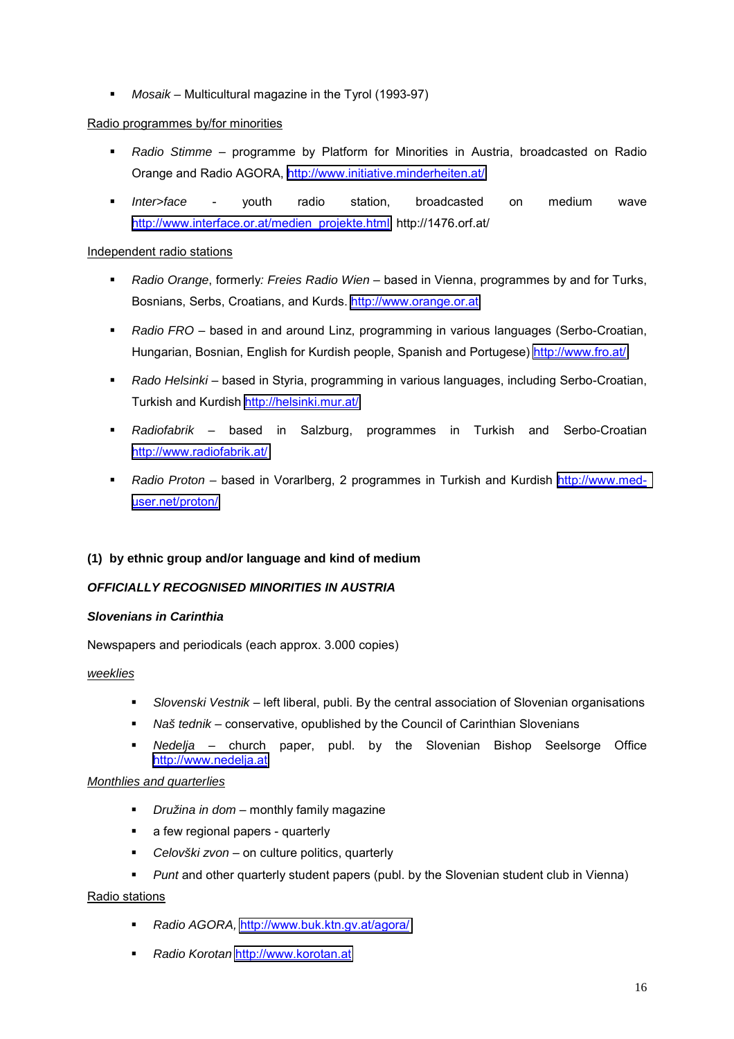*Mosaik –* Multicultural magazine in the Tyrol (1993-97)

### Radio programmes by/for minorities

- **•** Radio Stimme programme by Platform for Minorities in Austria, broadcasted on Radio Orange and Radio AGORA, <http://www.initiative.minderheiten.at/>
- *Inter>face*  youth radio station, broadcasted on medium wave [http://www.interface.or.at/medien\\_projekte.html,](http://www.interface.or.at/medien_projekte.html) http://1476.orf.at/

### Independent radio stations

- **Radio Orange, formerly: Freies Radio Wien** based in Vienna, programmes by and for Turks, Bosnians, Serbs, Croatians, and Kurds. [http://www.orange.or.at](http://www.orange.or.at/)
- **Radio FRO** based in and around Linz, programming in various languages (Serbo-Croatian, Hungarian, Bosnian, English for Kurdish people, Spanish and Portugese)<http://www.fro.at/>
- **Rado Helsinki** based in Styria, programming in various languages, including Serbo-Croatian, Turkish and Kurdish<http://helsinki.mur.at/>
- **Radiofabrik** based in Salzburg, programmes in Turkish and Serbo-Croatian <http://www.radiofabrik.at/>
- *Radio Proton* based in Vorarlberg, 2 programmes in Turkish and Kurdish [http://www.med](http://www.med-user.net/proton/)[user.net/proton/](http://www.med-user.net/proton/)

## **(1) by ethnic group and/or language and kind of medium**

## *OFFICIALLY RECOGNISED MINORITIES IN AUSTRIA*

### *Slovenians in Carinthia*

Newspapers and periodicals (each approx. 3.000 copies)

### *weeklies*

- **Slovenski Vestnik** left liberal, publi. By the central association of Slovenian organisations
- **Naš tednik** conservative, opublished by the Council of Carinthian Slovenians
- **•** Nedelja church paper, publ. by the Slovenian Bishop Seelsorge Office [http://www.nedelja.at](http://www.nedelja.at/)

### *Monthlies and quarterlies*

- **•** *Družina in dom* monthly family magazine
- a few regional papers quarterly
- **•** Celovški zvon on culture politics, quarterly
- *Punt* and other quarterly student papers (publ. by the Slovenian student club in Vienna)

### Radio stations

- *Radio AGORA,* <http://www.buk.ktn.gv.at/agora/>
- *Radio Korotan* [http://www.korotan.at](http://www.korotan.at/)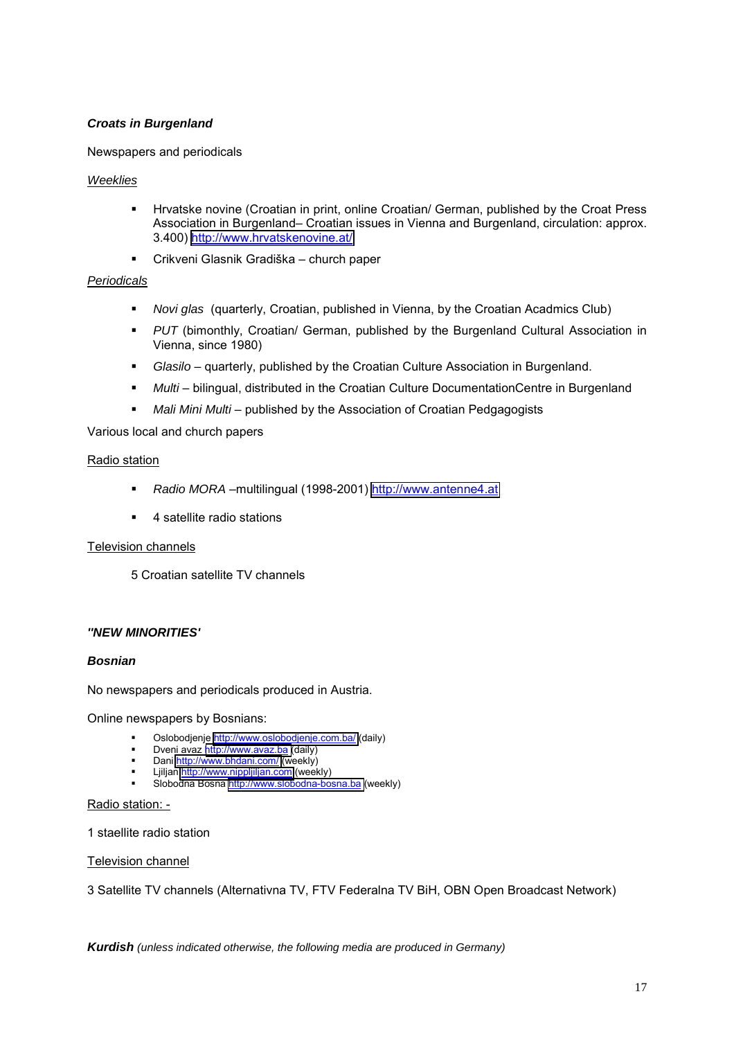### *Croats in Burgenland*

Newspapers and periodicals

#### *Weeklies*

- **Hrvatske novine (Croatian in print, online Croatian/ German, published by the Croat Press** Association in Burgenland– Croatian issues in Vienna and Burgenland, circulation: approx. 3.400)<http://www.hrvatskenovine.at/>
- **•** Crikveni Glasnik Gradiška church paper

#### *Periodicals*

- *Novi glas* (quarterly, Croatian, published in Vienna, by the Croatian Acadmics Club)
- **PUT** (bimonthly, Croatian/ German, published by the Burgenland Cultural Association in Vienna, since 1980)
- **Glasilo** quarterly, published by the Croatian Culture Association in Burgenland.
- **Multi** bilingual, distributed in the Croatian Culture DocumentationCentre in Burgenland
- **Mali Mini Multi** published by the Association of Croatian Pedgagogists

Various local and church papers

#### Radio station

- *Radio MORA* -multilingual (1998-2001) [http://www.antenne4.at](http://www.antenne4.at/)
- 4 satellite radio stations

### Television channels

5 Croatian satellite TV channels

### *''NEW MINORITIES'*

#### *Bosnian*

No newspapers and periodicals produced in Austria.

Online newspapers by Bosnians:

- **Diagonal Construct on Supersy Disk in Construct** Construct Oslobodjenje<http://www.oslobodjenje.com.ba/>(daily)
- Dveni avaz [http://www.avaz.ba \(](http://www.avaz.ba/)daily)
- Dani<http://www.bhdani.com/>(weekly) Ljiljan [http://www.nippljiljan.com](http://www.nippljiljan.com/) (weekly)
- Slobodna Bosna [http://www.slobodna-bosna.ba](http://www.slobodna-bosna.ba/) (weekly)

#### Radio station: -

1 staellite radio station

#### Television channel

3 Satellite TV channels (Alternativna TV, FTV Federalna TV BiH, OBN Open Broadcast Network)

*Kurdish (unless indicated otherwise, the following media are produced in Germany)*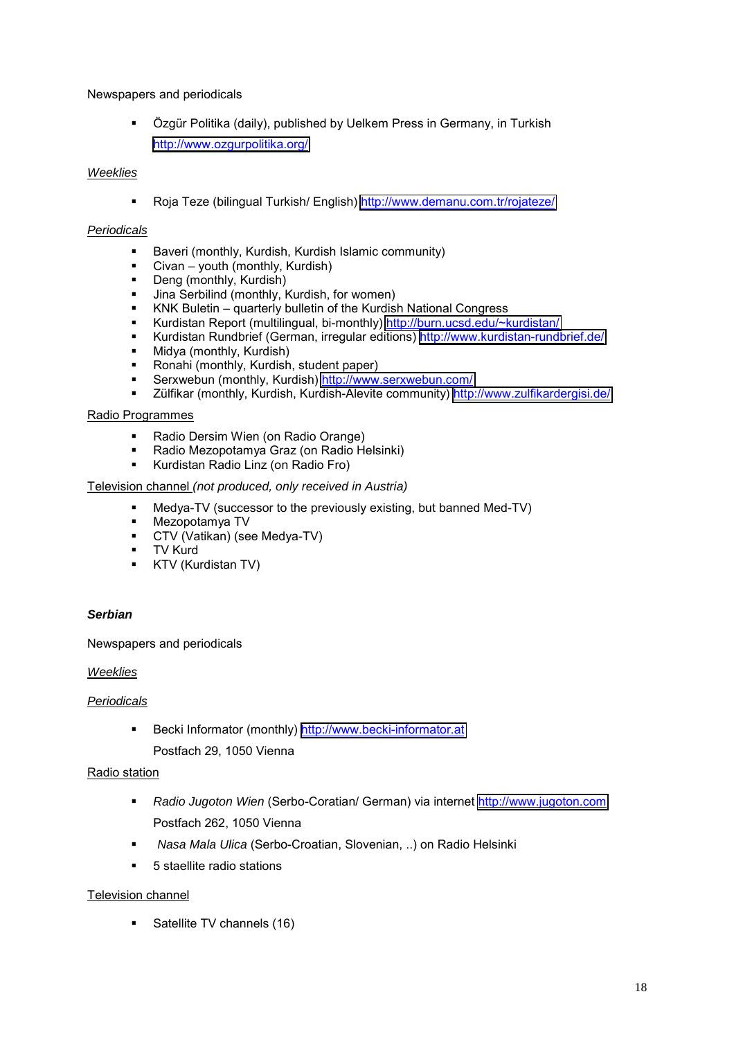Newspapers and periodicals

• Özgür Politika (daily), published by Uelkem Press in Germany, in Turkish <http://www.ozgurpolitika.org/>

### *Weeklies*

■ Roja Teze (bilingual Turkish/ English)<http://www.demanu.com.tr/rojateze/>

### *Periodicals*

- Baveri (monthly, Kurdish, Kurdish Islamic community)
- Civan youth (monthly, Kurdish)
- Deng (monthly, Kurdish)
- **Jina Serbilind (monthly, Kurdish, for women)**
- KNK Buletin quarterly bulletin of the Kurdish National Congress
- Kurdistan Report (multilingual, bi-monthly)<http://burn.ucsd.edu/~kurdistan/>
- Kurdistan Rundbrief (German, irregular editions)<http://www.kurdistan-rundbrief.de/>
- Midya (monthly, Kurdish)
- Ronahi (monthly, Kurdish, student paper)
- Serxwebun (monthly, Kurdish)<http://www.serxwebun.com/>
- Zülfikar (monthly, Kurdish, Kurdish-Alevite community)<http://www.zulfikardergisi.de/>

### Radio Programmes

- Radio Dersim Wien (on Radio Orange)
- Radio Mezopotamya Graz (on Radio Helsinki)
- **Kurdistan Radio Linz (on Radio Fro)**

### Television channel *(not produced, only received in Austria)*

- Medya-TV (successor to the previously existing, but banned Med-TV)
- Mezopotamya TV
- CTV (Vatikan) (see Medya-TV)
- **TV Kurd**
- **KTV (Kurdistan TV)**

### *Serbian*

Newspapers and periodicals

### *Weeklies*

### *Periodicals*

- Becki Informator (monthly) [http://www.becki-informator.at](http://www.becki-informator.at/)
	- Postfach 29, 1050 Vienna

### Radio station

- *Radio Jugoton Wien* (Serbo-Coratian/ German) via internet [http://www.jugoton.com](http://www.jugoton.com/) Postfach 262, 1050 Vienna
- *Nasa Mala Ulica* (Serbo-Croatian, Slovenian, ..) on Radio Helsinki
- 5 staellite radio stations

### Television channel

Satellite TV channels (16)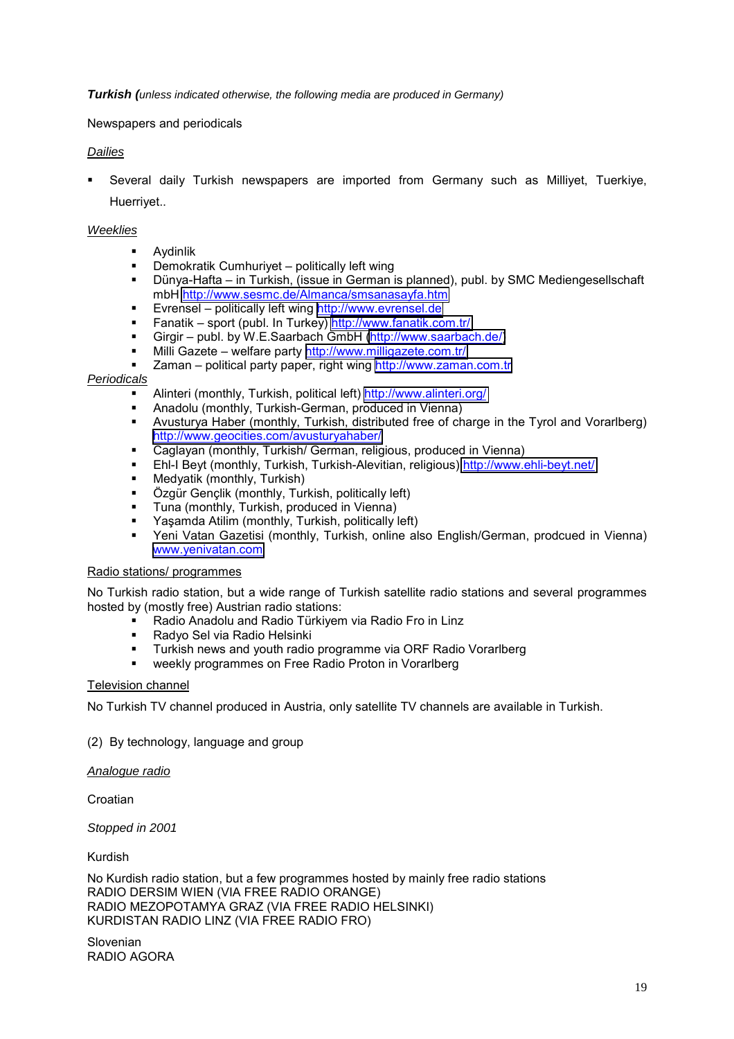*Turkish (unless indicated otherwise, the following media are produced in Germany)*

Newspapers and periodicals

### *Dailies*

 Several daily Turkish newspapers are imported from Germany such as Milliyet, Tuerkiye, Huerriyet..

#### *Weeklies*

- Aydinlik
- $\blacksquare$  Demokratik Cumhuriyet politically left wing
- **•** Dünya-Hafta in Turkish, (issue in German is planned), publ. by SMC Mediengesellschaft mbH<http://www.sesmc.de/Almanca/smsanasayfa.htm>
- Evrensel politically left wing [http://www.evrensel.de](http://www.evrensel.de/)
- Fanatik sport (publ. In Turkey)<http://www.fanatik.com.tr/>
- Girgir publ. by W.E.Saarbach GmbH [\(http://www.saarbach.de/\)](http://www.saarbach.de/)
- Milli Gazete welfare party <http://www.milligazete.com.tr/>
- Zaman political party paper, right wing [http://www.zaman.com.tr](http://www.zaman.com.tr/)

#### *Periodicals*

- Alinteri (monthly, Turkish, political left)<http://www.alinteri.org/>
- Anadolu (monthly, Turkish-German, produced in Vienna)
- Avusturya Haber (monthly, Turkish, distributed free of charge in the Tyrol and Vorarlberg) <http://www.geocities.com/avusturyahaber/>
- Caglayan (monthly, Turkish/ German, religious, produced in Vienna)
- Ehl-I Beyt (monthly, Turkish, Turkish-Alevitian, religious)<http://www.ehli-beyt.net/>
- Medyatik (monthly, Turkish)
- Özgür Gençlik (monthly, Turkish, politically left)
- **Tuna (monthly, Turkish, produced in Vienna)**
- Yaşamda Atilim (monthly, Turkish, politically left)
- Yeni Vatan Gazetisi (monthly, Turkish, online also English/German, prodcued in Vienna) [www.yenivatan.com](http://www.yenivatan.com/)

#### Radio stations/ programmes

No Turkish radio station, but a wide range of Turkish satellite radio stations and several programmes hosted by (mostly free) Austrian radio stations:

- Radio Anadolu and Radio Türkiyem via Radio Fro in Linz
- Radyo Sel via Radio Helsinki
- Turkish news and youth radio programme via ORF Radio Vorarlberg
- weekly programmes on Free Radio Proton in Vorarlberg

### Television channel

No Turkish TV channel produced in Austria, only satellite TV channels are available in Turkish.

### (2) By technology, language and group

#### *Analogue radio*

Croatian

*Stopped in 2001*

Kurdish

No Kurdish radio station, but a few programmes hosted by mainly free radio stations RADIO DERSIM WIEN (VIA FREE RADIO ORANGE) RADIO MEZOPOTAMYA GRAZ (VIA FREE RADIO HELSINKI) KURDISTAN RADIO LINZ (VIA FREE RADIO FRO)

Slovenian RADIO AGORA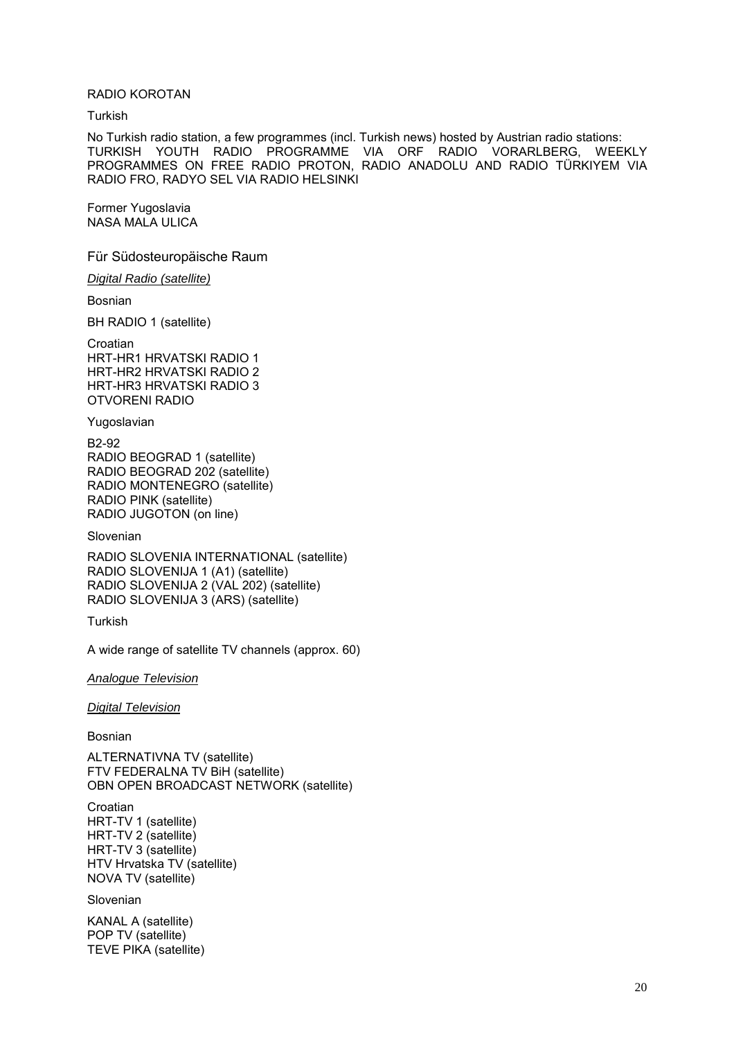#### RADIO KOROTAN

**Turkish** 

No Turkish radio station, a few programmes (incl. Turkish news) hosted by Austrian radio stations: TURKISH YOUTH RADIO PROGRAMME VIA ORF RADIO VORARLBERG, WEEKLY PROGRAMMES ON FREE RADIO PROTON, RADIO ANADOLU AND RADIO TÜRKIYEM VIA RADIO FRO, RADYO SEL VIA RADIO HELSINKI

Former Yugoslavia NASA MALA ULICA

Für Südosteuropäische Raum

*Digital Radio (satellite)*

Bosnian

BH RADIO 1 (satellite)

Croatian HRT-HR1 HRVATSKI RADIO 1 HRT-HR2 HRVATSKI RADIO 2 HRT-HR3 HRVATSKI RADIO 3 OTVORENI RADIO

Yugoslavian

B2-92 RADIO BEOGRAD 1 (satellite) RADIO BEOGRAD 202 (satellite) RADIO MONTENEGRO (satellite) RADIO PINK (satellite) RADIO JUGOTON (on line)

Slovenian

RADIO SLOVENIA INTERNATIONAL (satellite) RADIO SLOVENIJA 1 (A1) (satellite) RADIO SLOVENIJA 2 (VAL 202) (satellite) RADIO SLOVENIJA 3 (ARS) (satellite)

Turkish

A wide range of satellite TV channels (approx. 60)

*Analogue Television*

*Digital Television*

Bosnian

ALTERNATIVNA TV (satellite) FTV FEDERALNA TV BiH (satellite) OBN OPEN BROADCAST NETWORK (satellite)

Croatian HRT-TV 1 (satellite) HRT-TV 2 (satellite) HRT-TV 3 (satellite) HTV Hrvatska TV (satellite) NOVA TV (satellite)

Slovenian

KANAL A (satellite) POP TV (satellite) TEVE PIKA (satellite)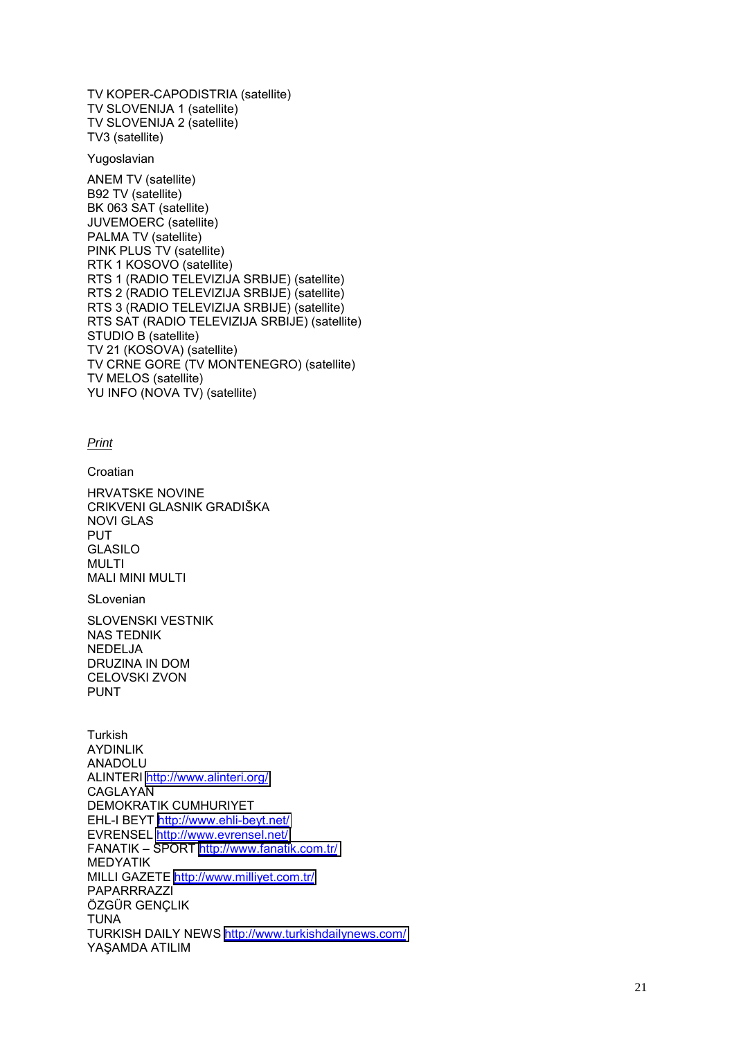TV KOPER-CAPODISTRIA (satellite) TV SLOVENIJA 1 (satellite) TV SLOVENIJA 2 (satellite) TV3 (satellite)

Yugoslavian

ANEM TV (satellite) B92 TV (satellite) BK 063 SAT (satellite) JUVEMOERC (satellite) PALMA TV (satellite) PINK PLUS TV (satellite) RTK 1 KOSOVO (satellite) RTS 1 (RADIO TELEVIZIJA SRBIJE) (satellite) RTS 2 (RADIO TELEVIZIJA SRBIJE) (satellite) RTS 3 (RADIO TELEVIZIJA SRBIJE) (satellite) RTS SAT (RADIO TELEVIZIJA SRBIJE) (satellite) STUDIO B (satellite) TV 21 (KOSOVA) (satellite) TV CRNE GORE (TV MONTENEGRO) (satellite) TV MELOS (satellite) YU INFO (NOVA TV) (satellite)

*Print*

**Croatian** 

HRVATSKE NOVINE CRIKVENI GLASNIK GRADIäKA NOVI GLAS PUT GLASILO MULTI MALI MINI MULTI

SLovenian

SLOVENSKI VESTNIK NAS TEDNIK NEDELJA DRUZINA IN DOM CELOVSKI ZVON PUNT

Turkish AYDINLIK ANADOLU ALINTERI<http://www.alinteri.org/> CAGLAYAN DEMOKRATIK CUMHURIYET EHL-I BEYT <http://www.ehli-beyt.net/> EVRENSEL<http://www.evrensel.net/> FANATIK - SPORT<http://www.fanatik.com.tr/> MEDYATIK MILLI GAZETE<http://www.milliyet.com.tr/> PAPARRRAZZI ÖZGÜR GENÇLIK TUNA TURKISH DAILY NEWS<http://www.turkishdailynews.com/> YA ŞAMDA ATILIM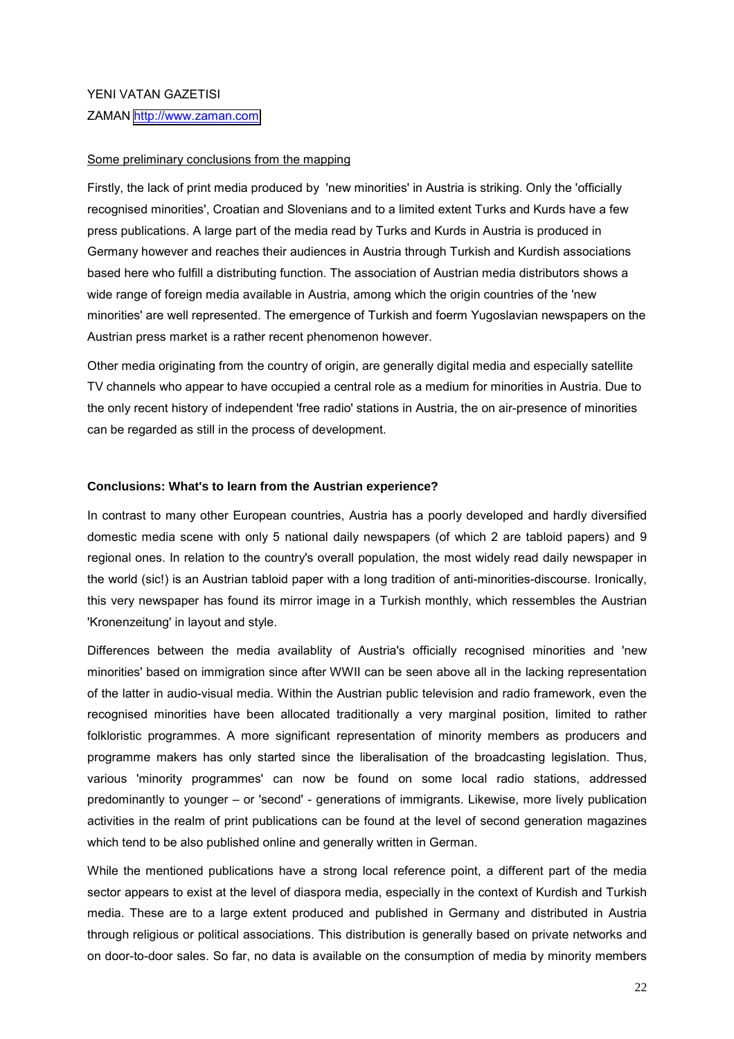#### YENI VATAN GAZETISI

ZAMAN [http://www.zaman.com](http://www.zaman.com/)

#### Some preliminary conclusions from the mapping

Firstly, the lack of print media produced by 'new minorities' in Austria is striking. Only the 'officially recognised minorities', Croatian and Slovenians and to a limited extent Turks and Kurds have a few press publications. A large part of the media read by Turks and Kurds in Austria is produced in Germany however and reaches their audiences in Austria through Turkish and Kurdish associations based here who fulfill a distributing function. The association of Austrian media distributors shows a wide range of foreign media available in Austria, among which the origin countries of the 'new minorities' are well represented. The emergence of Turkish and foerm Yugoslavian newspapers on the Austrian press market is a rather recent phenomenon however.

Other media originating from the country of origin, are generally digital media and especially satellite TV channels who appear to have occupied a central role as a medium for minorities in Austria. Due to the only recent history of independent 'free radio' stations in Austria, the on air-presence of minorities can be regarded as still in the process of development.

#### **Conclusions: What's to learn from the Austrian experience?**

In contrast to many other European countries, Austria has a poorly developed and hardly diversified domestic media scene with only 5 national daily newspapers (of which 2 are tabloid papers) and 9 regional ones. In relation to the country's overall population, the most widely read daily newspaper in the world (sic!) is an Austrian tabloid paper with a long tradition of anti-minorities-discourse. Ironically, this very newspaper has found its mirror image in a Turkish monthly, which ressembles the Austrian 'Kronenzeitung' in layout and style.

Differences between the media availablity of Austria's officially recognised minorities and 'new minorities' based on immigration since after WWII can be seen above all in the lacking representation of the latter in audio-visual media. Within the Austrian public television and radio framework, even the recognised minorities have been allocated traditionally a very marginal position, limited to rather folkloristic programmes. A more significant representation of minority members as producers and programme makers has only started since the liberalisation of the broadcasting legislation. Thus, various 'minority programmes' can now be found on some local radio stations, addressed predominantly to younger – or 'second' - generations of immigrants. Likewise, more lively publication activities in the realm of print publications can be found at the level of second generation magazines which tend to be also published online and generally written in German.

While the mentioned publications have a strong local reference point, a different part of the media sector appears to exist at the level of diaspora media, especially in the context of Kurdish and Turkish media. These are to a large extent produced and published in Germany and distributed in Austria through religious or political associations. This distribution is generally based on private networks and on door-to-door sales. So far, no data is available on the consumption of media by minority members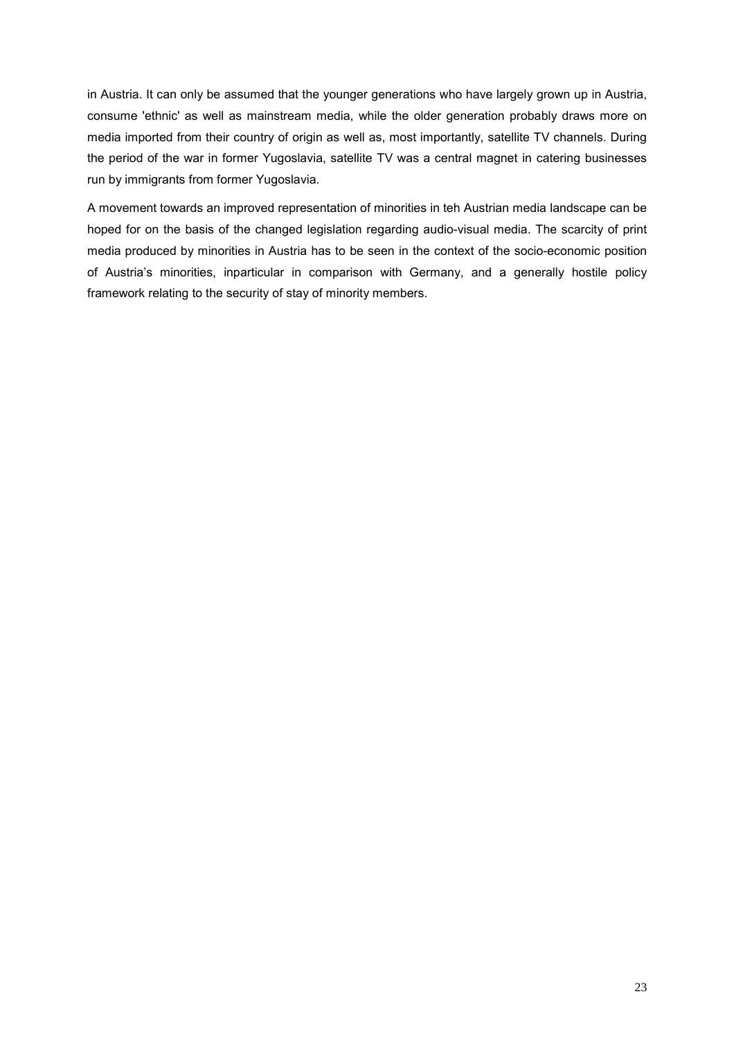in Austria. It can only be assumed that the younger generations who have largely grown up in Austria, consume 'ethnic' as well as mainstream media, while the older generation probably draws more on media imported from their country of origin as well as, most importantly, satellite TV channels. During the period of the war in former Yugoslavia, satellite TV was a central magnet in catering businesses run by immigrants from former Yugoslavia.

A movement towards an improved representation of minorities in teh Austrian media landscape can be hoped for on the basis of the changed legislation regarding audio-visual media. The scarcity of print media produced by minorities in Austria has to be seen in the context of the socio-economic position of Austriaís minorities, inparticular in comparison with Germany, and a generally hostile policy framework relating to the security of stay of minority members.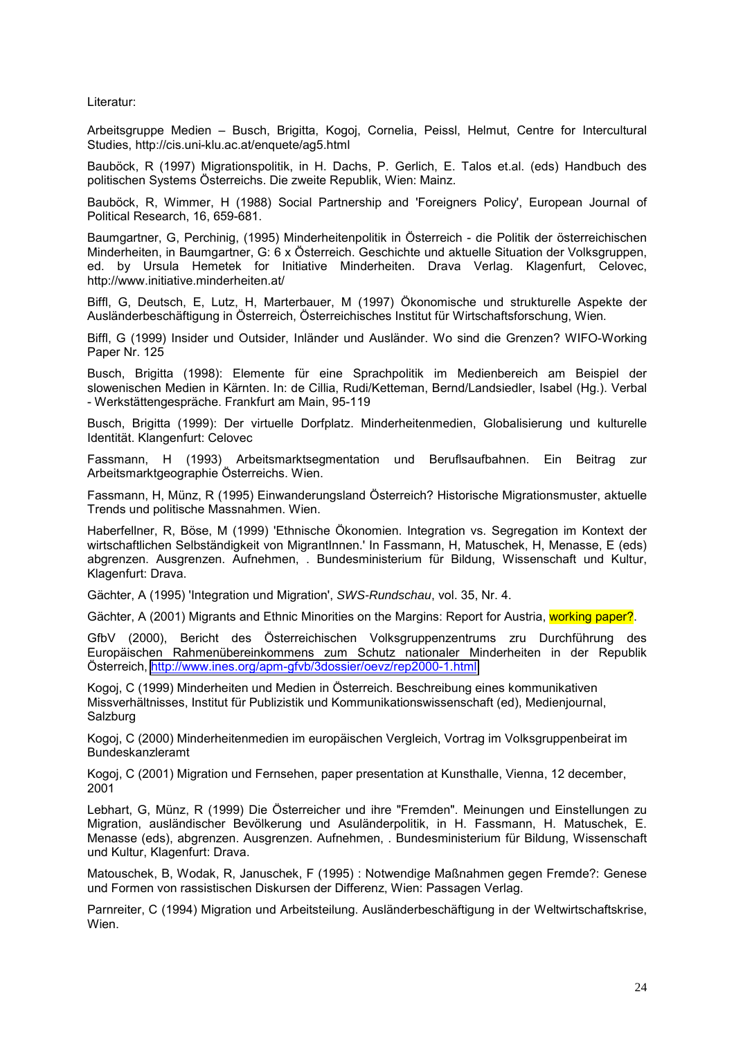Literatur:

Arbeitsgruppe Medien – Busch, Brigitta, Kogoj, Cornelia, Peissl, Helmut, Centre for Intercultural Studies, http://cis.uni-klu.ac.at/enquete/ag5.html

Bauböck, R (1997) Migrationspolitik, in H. Dachs, P. Gerlich, E. Talos et.al. (eds) Handbuch des politischen Systems Österreichs. Die zweite Republik, Wien: Mainz.

Bauböck, R, Wimmer, H (1988) Social Partnership and 'Foreigners Policy', European Journal of Political Research, 16, 659-681.

Baumgartner, G, Perchinig, (1995) Minderheitenpolitik in Österreich - die Politik der österreichischen Minderheiten, in Baumgartner, G: 6 x Österreich. Geschichte und aktuelle Situation der Volksgruppen, ed. by Ursula Hemetek for Initiative Minderheiten. Drava Verlag. Klagenfurt, Celovec, http://www.initiative.minderheiten.at/

Biffl, G, Deutsch, E, Lutz, H, Marterbauer, M (1997) Ökonomische und strukturelle Aspekte der Ausländerbeschäftigung in Österreich, Österreichisches Institut für Wirtschaftsforschung, Wien.

Biffl, G (1999) Insider und Outsider, Inländer und Ausländer. Wo sind die Grenzen? WIFO-Working Paper Nr. 125

Busch, Brigitta (1998): Elemente für eine Sprachpolitik im Medienbereich am Beispiel der slowenischen Medien in Kärnten. In: de Cillia, Rudi/Ketteman, Bernd/Landsiedler, Isabel (Hg.). Verbal - Werkstättengespräche. Frankfurt am Main, 95-119

Busch, Brigitta (1999): Der virtuelle Dorfplatz. Minderheitenmedien, Globalisierung und kulturelle Identität. Klangenfurt: Celovec

Fassmann, H (1993) Arbeitsmarktsegmentation und Beruflsaufbahnen. Ein Beitrag zur Arbeitsmarktgeographie Österreichs. Wien.

Fassmann, H, Münz, R (1995) Einwanderungsland Österreich? Historische Migrationsmuster, aktuelle Trends und politische Massnahmen. Wien.

Haberfellner, R, Böse, M (1999) 'Ethnische Ökonomien. Integration vs. Segregation im Kontext der wirtschaftlichen Selbständigkeit von MigrantInnen.' In Fassmann, H, Matuschek, H, Menasse, E (eds) abgrenzen. Ausgrenzen. Aufnehmen, . Bundesministerium für Bildung, Wissenschaft und Kultur, Klagenfurt: Drava.

G‰chter, A (1995) 'Integration und Migration', *SWS-Rundschau*, vol. 35, Nr. 4.

Gächter, A (2001) Migrants and Ethnic Minorities on the Margins: Report for Austria, working paper?.

GfbV (2000), Bericht des Österreichischen Volksgruppenzentrums zru Durchführung des Europäischen Rahmenübereinkommens zum Schutz nationaler Minderheiten in der Republik Österreich,<http://www.ines.org/apm-gfvb/3dossier/oevz/rep2000-1.html>

Kogoj, C (1999) Minderheiten und Medien in Österreich. Beschreibung eines kommunikativen Missverhältnisses, Institut für Publizistik und Kommunikationswissenschaft (ed), Medienjournal, **Salzburg** 

Kogoj, C (2000) Minderheitenmedien im europäischen Vergleich, Vortrag im Volksgruppenbeirat im Bundeskanzleramt

Kogoj, C (2001) Migration und Fernsehen, paper presentation at Kunsthalle, Vienna, 12 december, 2001

Lebhart, G. Münz, R (1999) Die Österreicher und ihre "Fremden". Meinungen und Einstellungen zu Migration, ausländischer Bevölkerung und Asuländerpolitik, in H. Fassmann, H. Matuschek, E. Menasse (eds), abgrenzen. Ausgrenzen. Aufnehmen, . Bundesministerium für Bildung, Wissenschaft und Kultur, Klagenfurt: Drava.

Matouschek, B, Wodak, R, Januschek, F (1995) : Notwendige Maflnahmen gegen Fremde?: Genese und Formen von rassistischen Diskursen der Differenz, Wien: Passagen Verlag.

Parnreiter, C (1994) Migration und Arbeitsteilung. Ausländerbeschäftigung in der Weltwirtschaftskrise, Wien.